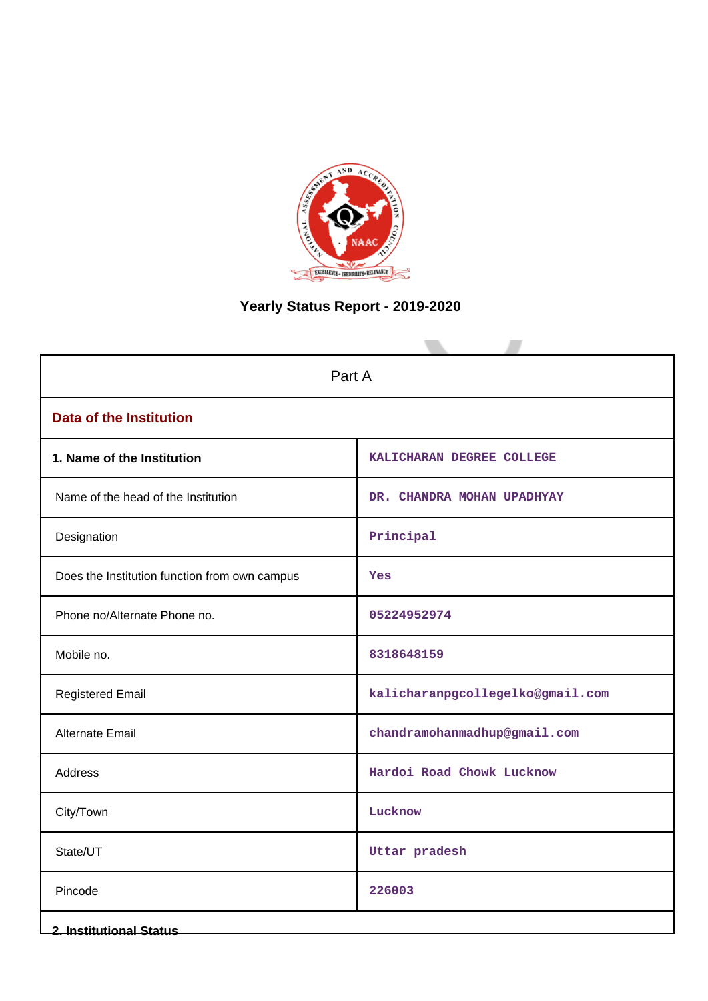

# **Yearly Status Report - 2019-2020**

| Part A                                        |                                  |  |  |  |
|-----------------------------------------------|----------------------------------|--|--|--|
| <b>Data of the Institution</b>                |                                  |  |  |  |
| 1. Name of the Institution                    | KALICHARAN DEGREE COLLEGE        |  |  |  |
| Name of the head of the Institution           | DR. CHANDRA MOHAN UPADHYAY       |  |  |  |
| Designation                                   | Principal                        |  |  |  |
| Does the Institution function from own campus | <b>Yes</b>                       |  |  |  |
| Phone no/Alternate Phone no.                  | 05224952974                      |  |  |  |
| Mobile no.                                    | 8318648159                       |  |  |  |
| <b>Registered Email</b>                       | kalicharanpgcollegelko@gmail.com |  |  |  |
| <b>Alternate Email</b>                        | chandramohanmadhup@gmail.com     |  |  |  |
| <b>Address</b>                                | Hardoi Road Chowk Lucknow        |  |  |  |
| City/Town                                     | Lucknow                          |  |  |  |
| State/UT                                      | Uttar pradesh                    |  |  |  |
| Pincode                                       | 226003                           |  |  |  |
| <b>2. Institutional Status</b>                |                                  |  |  |  |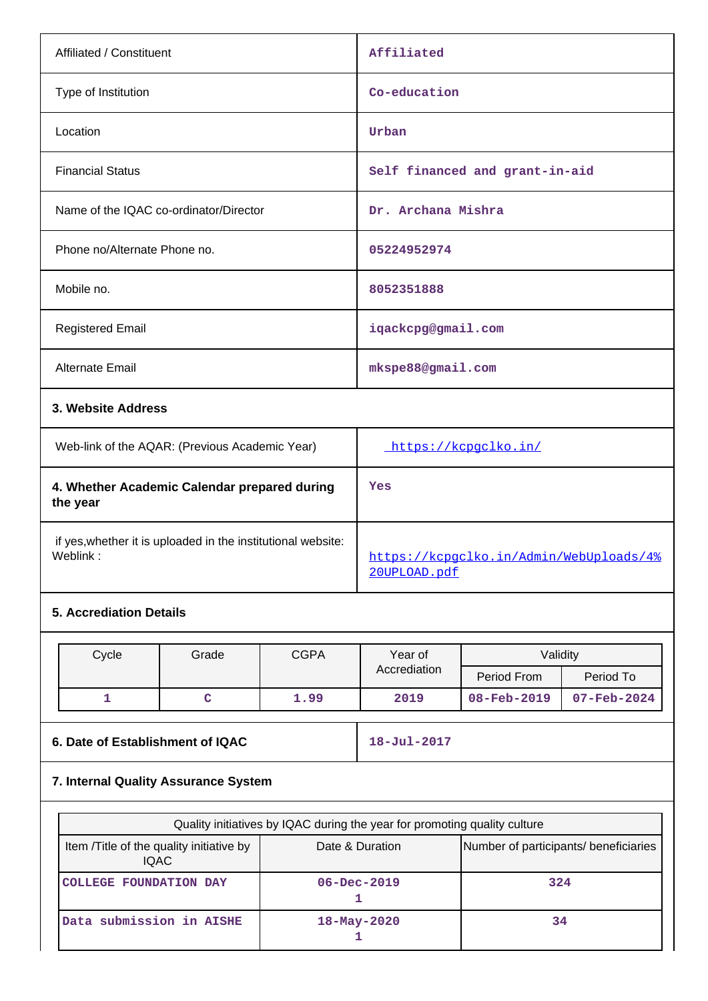| Affiliated / Constituent                                                 |       |             | Affiliated                                              |                                |           |  |
|--------------------------------------------------------------------------|-------|-------------|---------------------------------------------------------|--------------------------------|-----------|--|
| Type of Institution                                                      |       |             | Co-education                                            |                                |           |  |
| Location                                                                 |       |             | Urban                                                   |                                |           |  |
| <b>Financial Status</b>                                                  |       |             |                                                         | Self financed and grant-in-aid |           |  |
| Name of the IQAC co-ordinator/Director                                   |       |             | Dr. Archana Mishra                                      |                                |           |  |
| Phone no/Alternate Phone no.                                             |       |             | 05224952974                                             |                                |           |  |
| Mobile no.                                                               |       |             |                                                         |                                |           |  |
| <b>Registered Email</b>                                                  |       |             | iqackcpg@gmail.com                                      |                                |           |  |
| Alternate Email                                                          |       |             | mkspe88@gmail.com                                       |                                |           |  |
| 3. Website Address                                                       |       |             |                                                         |                                |           |  |
| Web-link of the AQAR: (Previous Academic Year)                           |       |             | https://kcpgclko.in/                                    |                                |           |  |
| 4. Whether Academic Calendar prepared during<br>the year                 |       |             | Yes                                                     |                                |           |  |
| if yes, whether it is uploaded in the institutional website:<br>Weblink: |       |             | https://kcpgclko.in/Admin/WebUploads/4%<br>20UPLOAD.pdf |                                |           |  |
| <b>5. Accrediation Details</b>                                           |       |             |                                                         |                                |           |  |
| Cycle                                                                    | Grade | <b>CGPA</b> | Year of                                                 | Validity                       |           |  |
|                                                                          |       |             | Accrediation                                            | Doriad From                    | Doriod To |  |

| <b>Uyuu</b> | <b>U</b> luuv | <b>UUIT</b> | ו טעו טו     | <u>Valially</u> |                          |  |
|-------------|---------------|-------------|--------------|-----------------|--------------------------|--|
|             |               |             | Accrediation | Period From     | Period To                |  |
|             |               | 1.99        | 2019         | 08-Feb-2019     | $07 - \text{Feb} - 2024$ |  |
|             |               |             |              |                 |                          |  |

### **6. Date of Establishment of IQAC** 18-Jul-2017

## **7. Internal Quality Assurance System**

| Quality initiatives by IQAC during the year for promoting quality culture |                   |     |  |  |  |  |  |
|---------------------------------------------------------------------------|-------------------|-----|--|--|--|--|--|
| Item / Title of the quality initiative by<br>IQAC.                        | Date & Duration   |     |  |  |  |  |  |
| COLLEGE FOUNDATION DAY                                                    | $06 - Dec - 2019$ | 324 |  |  |  |  |  |
| Data submission in AISHE                                                  | $18 - May - 2020$ | 34  |  |  |  |  |  |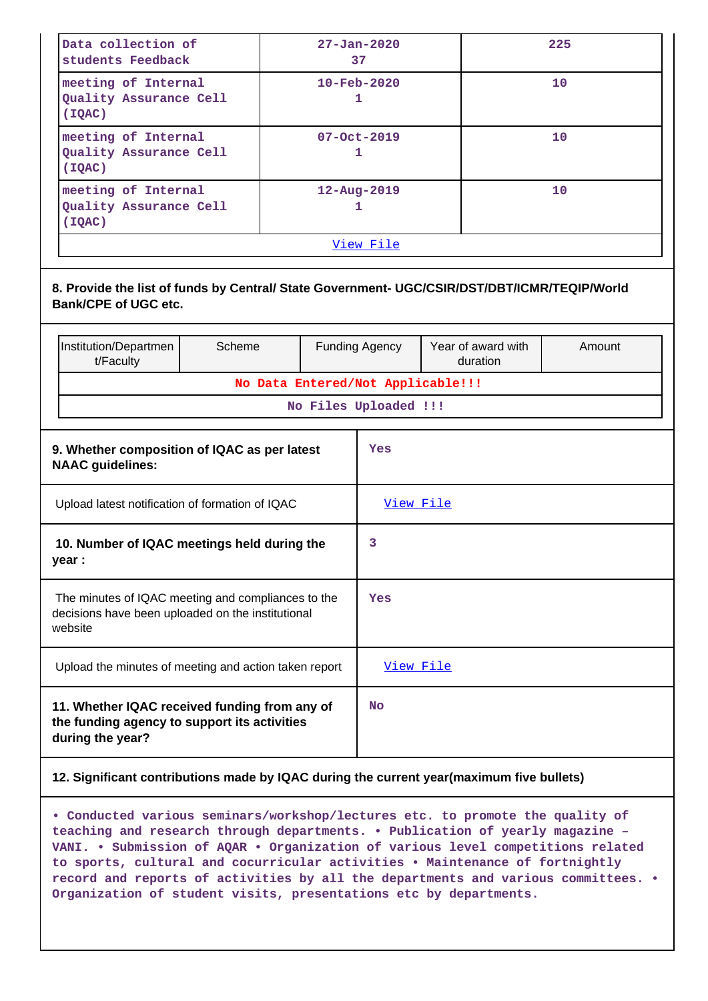| Data collection of<br>students Feedback                 | $27 - Jan - 2020$<br>37  | 225 |  |  |  |  |
|---------------------------------------------------------|--------------------------|-----|--|--|--|--|
| meeting of Internal<br>Quality Assurance Cell<br>(IQAC) | $10 - \text{Feb} - 2020$ | 10  |  |  |  |  |
| meeting of Internal<br>Quality Assurance Cell<br>(IOAC) | $07 - Oct - 2019$<br>ı   | 10  |  |  |  |  |
| meeting of Internal<br>Quality Assurance Cell<br>(IQAC) | $12 - Aug - 2019$        | 10  |  |  |  |  |
| View File                                               |                          |     |  |  |  |  |

|                                                                                                                    | 8. Provide the list of funds by Central/ State Government- UGC/CSIR/DST/DBT/ICMR/TEQIP/World<br><b>Bank/CPE of UGC etc.</b> |                                   |           |                       |                                |        |  |
|--------------------------------------------------------------------------------------------------------------------|-----------------------------------------------------------------------------------------------------------------------------|-----------------------------------|-----------|-----------------------|--------------------------------|--------|--|
|                                                                                                                    | Institution/Departmen<br>t/Faculty                                                                                          | Scheme                            |           | <b>Funding Agency</b> | Year of award with<br>duration | Amount |  |
|                                                                                                                    |                                                                                                                             | No Data Entered/Not Applicable!!! |           |                       |                                |        |  |
| No Files Uploaded !!!                                                                                              |                                                                                                                             |                                   |           |                       |                                |        |  |
| 9. Whether composition of IQAC as per latest<br><b>NAAC</b> guidelines:                                            |                                                                                                                             |                                   |           | Yes                   |                                |        |  |
| Upload latest notification of formation of IQAC                                                                    |                                                                                                                             |                                   | View File |                       |                                |        |  |
| 10. Number of IQAC meetings held during the<br>year :                                                              |                                                                                                                             |                                   | 3         |                       |                                |        |  |
| The minutes of IQAC meeting and compliances to the<br>decisions have been uploaded on the institutional<br>website |                                                                                                                             |                                   |           | Yes                   |                                |        |  |
| Upload the minutes of meeting and action taken report                                                              |                                                                                                                             |                                   | View File |                       |                                |        |  |
|                                                                                                                    | 11. Whether IQAC received funding from any of<br>the funding agency to support its activities<br>during the year?           |                                   |           | <b>No</b>             |                                |        |  |

#### **12. Significant contributions made by IQAC during the current year(maximum five bullets)**

**• Conducted various seminars/workshop/lectures etc. to promote the quality of teaching and research through departments. • Publication of yearly magazine – VANI. • Submission of AQAR • Organization of various level competitions related to sports, cultural and cocurricular activities • Maintenance of fortnightly record and reports of activities by all the departments and various committees. • Organization of student visits, presentations etc by departments.**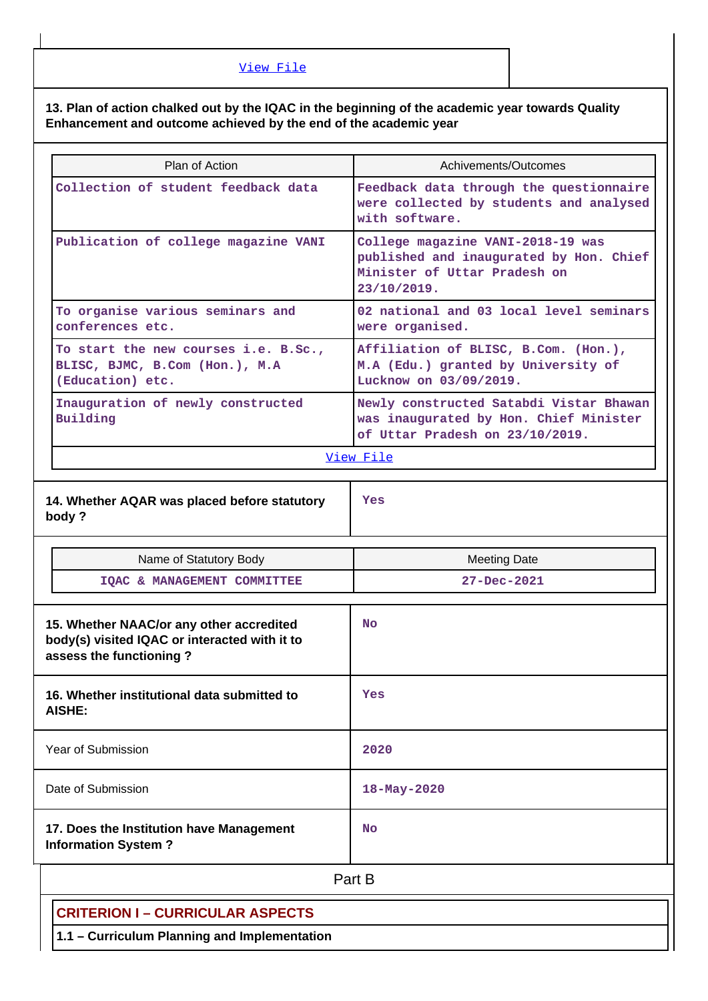[View File](https://assessmentonline.naac.gov.in/public/Postacc/Contribution/17367_Contribution.xlsx)

#### **13. Plan of action chalked out by the IQAC in the beginning of the academic year towards Quality Enhancement and outcome achieved by the end of the academic year**

| Plan of Action                                                                                                       | Achivements/Outcomes                                                                                                        |
|----------------------------------------------------------------------------------------------------------------------|-----------------------------------------------------------------------------------------------------------------------------|
| Collection of student feedback data                                                                                  | Feedback data through the questionnaire<br>were collected by students and analysed<br>with software.                        |
| Publication of college magazine VANI                                                                                 | College magazine VANI-2018-19 was<br>published and inaugurated by Hon. Chief<br>Minister of Uttar Pradesh on<br>23/10/2019. |
| To organise various seminars and<br>conferences etc.                                                                 | 02 national and 03 local level seminars<br>were organised.                                                                  |
| To start the new courses i.e. B.Sc.,<br>BLISC, BJMC, B.Com (Hon.), M.A<br>(Education) etc.                           | Affiliation of BLISC, B.Com. (Hon.),<br>M.A (Edu.) granted by University of<br>Lucknow on 03/09/2019.                       |
| Inauguration of newly constructed<br>Building                                                                        | Newly constructed Satabdi Vistar Bhawan<br>was inaugurated by Hon. Chief Minister<br>of Uttar Pradesh on 23/10/2019.        |
|                                                                                                                      | View File                                                                                                                   |
| 14. Whether AQAR was placed before statutory<br>body?                                                                | Yes                                                                                                                         |
|                                                                                                                      |                                                                                                                             |
| Name of Statutory Body                                                                                               | <b>Meeting Date</b>                                                                                                         |
| IQAC & MANAGEMENT COMMITTEE                                                                                          | 27-Dec-2021                                                                                                                 |
| 15. Whether NAAC/or any other accredited<br>body(s) visited IQAC or interacted with it to<br>assess the functioning? | <b>No</b>                                                                                                                   |
| 16. Whether institutional data submitted to<br>AISHE:                                                                | Yes                                                                                                                         |
| <b>Year of Submission</b>                                                                                            | 2020                                                                                                                        |
| Date of Submission                                                                                                   | $18 - May - 2020$                                                                                                           |
| 17. Does the Institution have Management<br><b>Information System?</b>                                               | No                                                                                                                          |
|                                                                                                                      | Part B                                                                                                                      |
| <b>CRITERION I - CURRICULAR ASPECTS</b>                                                                              |                                                                                                                             |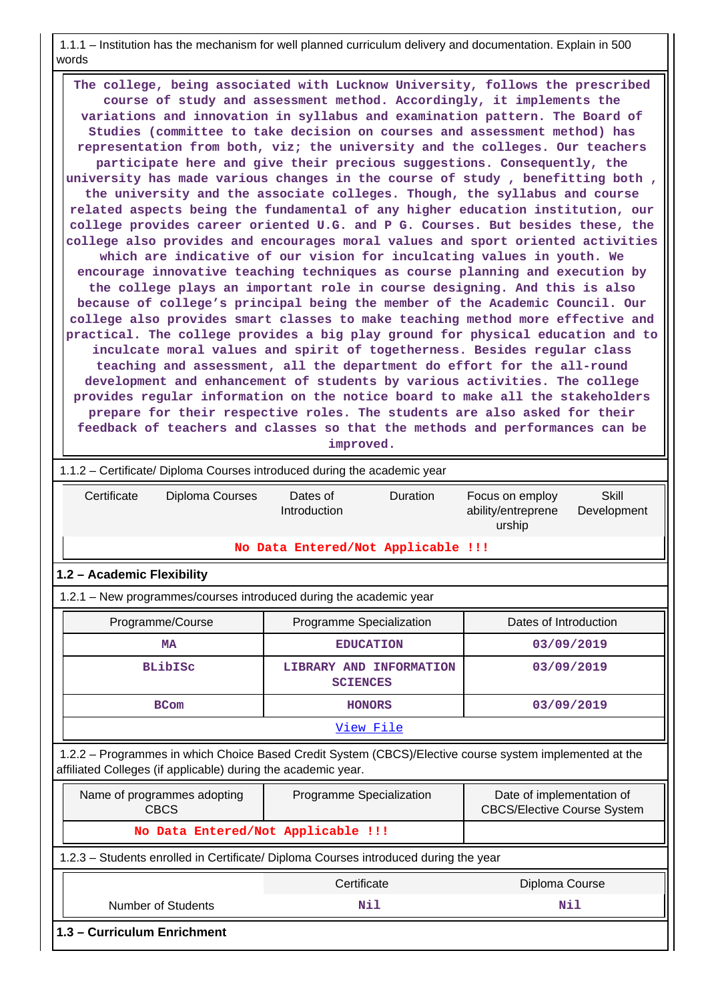1.1.1 – Institution has the mechanism for well planned curriculum delivery and documentation. Explain in 500 words

 **The college, being associated with Lucknow University, follows the prescribed course of study and assessment method. Accordingly, it implements the variations and innovation in syllabus and examination pattern. The Board of Studies (committee to take decision on courses and assessment method) has representation from both, viz; the university and the colleges. Our teachers participate here and give their precious suggestions. Consequently, the university has made various changes in the course of study , benefitting both , the university and the associate colleges. Though, the syllabus and course related aspects being the fundamental of any higher education institution, our college provides career oriented U.G. and P G. Courses. But besides these, the college also provides and encourages moral values and sport oriented activities which are indicative of our vision for inculcating values in youth. We encourage innovative teaching techniques as course planning and execution by the college plays an important role in course designing. And this is also because of college's principal being the member of the Academic Council. Our college also provides smart classes to make teaching method more effective and practical. The college provides a big play ground for physical education and to inculcate moral values and spirit of togetherness. Besides regular class teaching and assessment, all the department do effort for the all-round development and enhancement of students by various activities. The college provides regular information on the notice board to make all the stakeholders prepare for their respective roles. The students are also asked for their feedback of teachers and classes so that the methods and performances can be improved.**

| 1.1.2 – Certificate/ Diploma Courses introduced during the academic year                                                                                                 |                                            |                                                                                |  |  |  |  |  |  |  |
|--------------------------------------------------------------------------------------------------------------------------------------------------------------------------|--------------------------------------------|--------------------------------------------------------------------------------|--|--|--|--|--|--|--|
| Certificate<br>Diploma Courses                                                                                                                                           | Duration<br>Dates of<br>Introduction       | <b>Skill</b><br>Focus on employ<br>ability/entreprene<br>Development<br>urship |  |  |  |  |  |  |  |
| No Data Entered/Not Applicable !!!                                                                                                                                       |                                            |                                                                                |  |  |  |  |  |  |  |
| 1.2 - Academic Flexibility                                                                                                                                               |                                            |                                                                                |  |  |  |  |  |  |  |
| 1.2.1 - New programmes/courses introduced during the academic year                                                                                                       |                                            |                                                                                |  |  |  |  |  |  |  |
| Programme/Course                                                                                                                                                         | Programme Specialization                   | Dates of Introduction                                                          |  |  |  |  |  |  |  |
| <b>MA</b>                                                                                                                                                                | <b>EDUCATION</b>                           | 03/09/2019                                                                     |  |  |  |  |  |  |  |
| <b>BLibISC</b>                                                                                                                                                           | LIBRARY AND INFORMATION<br><b>SCIENCES</b> | 03/09/2019                                                                     |  |  |  |  |  |  |  |
| <b>BCom</b>                                                                                                                                                              | <b>HONORS</b>                              | 03/09/2019                                                                     |  |  |  |  |  |  |  |
|                                                                                                                                                                          | View File                                  |                                                                                |  |  |  |  |  |  |  |
| 1.2.2 - Programmes in which Choice Based Credit System (CBCS)/Elective course system implemented at the<br>affiliated Colleges (if applicable) during the academic year. |                                            |                                                                                |  |  |  |  |  |  |  |
| Name of programmes adopting<br>CBCS                                                                                                                                      | Programme Specialization                   | Date of implementation of<br><b>CBCS/Elective Course System</b>                |  |  |  |  |  |  |  |
| No Data Entered/Not Applicable !!!                                                                                                                                       |                                            |                                                                                |  |  |  |  |  |  |  |
| 1.2.3 - Students enrolled in Certificate/ Diploma Courses introduced during the year                                                                                     |                                            |                                                                                |  |  |  |  |  |  |  |
|                                                                                                                                                                          | Certificate                                | Diploma Course                                                                 |  |  |  |  |  |  |  |
| <b>Number of Students</b>                                                                                                                                                | Nil<br>Nil                                 |                                                                                |  |  |  |  |  |  |  |
| 1.3 - Curriculum Enrichment                                                                                                                                              |                                            |                                                                                |  |  |  |  |  |  |  |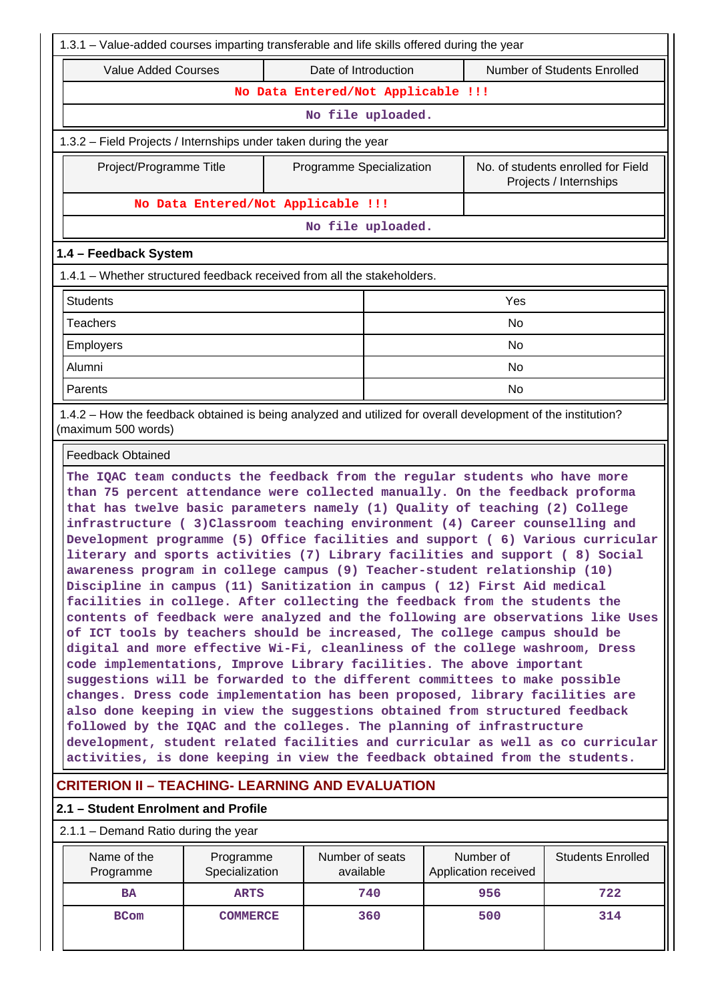| 1.3.1 – Value-added courses imparting transferable and life skills offered during the year                                                                                                                                                                                                                                                                                                                                                                                                                                                                                                                                                                                                                                                                                                                                                                                                                                                                                                                                                                                                                                                                                                                                                                                                                                                                                                                                                                                                                                                            |                                                                                                              |                              |     |  |                                   |                          |  |
|-------------------------------------------------------------------------------------------------------------------------------------------------------------------------------------------------------------------------------------------------------------------------------------------------------------------------------------------------------------------------------------------------------------------------------------------------------------------------------------------------------------------------------------------------------------------------------------------------------------------------------------------------------------------------------------------------------------------------------------------------------------------------------------------------------------------------------------------------------------------------------------------------------------------------------------------------------------------------------------------------------------------------------------------------------------------------------------------------------------------------------------------------------------------------------------------------------------------------------------------------------------------------------------------------------------------------------------------------------------------------------------------------------------------------------------------------------------------------------------------------------------------------------------------------------|--------------------------------------------------------------------------------------------------------------|------------------------------|-----|--|-----------------------------------|--------------------------|--|
|                                                                                                                                                                                                                                                                                                                                                                                                                                                                                                                                                                                                                                                                                                                                                                                                                                                                                                                                                                                                                                                                                                                                                                                                                                                                                                                                                                                                                                                                                                                                                       | <b>Value Added Courses</b><br>Date of Introduction<br>Number of Students Enrolled                            |                              |     |  |                                   |                          |  |
|                                                                                                                                                                                                                                                                                                                                                                                                                                                                                                                                                                                                                                                                                                                                                                                                                                                                                                                                                                                                                                                                                                                                                                                                                                                                                                                                                                                                                                                                                                                                                       | No Data Entered/Not Applicable !!!                                                                           |                              |     |  |                                   |                          |  |
|                                                                                                                                                                                                                                                                                                                                                                                                                                                                                                                                                                                                                                                                                                                                                                                                                                                                                                                                                                                                                                                                                                                                                                                                                                                                                                                                                                                                                                                                                                                                                       |                                                                                                              | No file uploaded.            |     |  |                                   |                          |  |
| 1.3.2 - Field Projects / Internships under taken during the year                                                                                                                                                                                                                                                                                                                                                                                                                                                                                                                                                                                                                                                                                                                                                                                                                                                                                                                                                                                                                                                                                                                                                                                                                                                                                                                                                                                                                                                                                      |                                                                                                              |                              |     |  |                                   |                          |  |
| No. of students enrolled for Field<br>Project/Programme Title<br>Programme Specialization<br>Projects / Internships                                                                                                                                                                                                                                                                                                                                                                                                                                                                                                                                                                                                                                                                                                                                                                                                                                                                                                                                                                                                                                                                                                                                                                                                                                                                                                                                                                                                                                   |                                                                                                              |                              |     |  |                                   |                          |  |
|                                                                                                                                                                                                                                                                                                                                                                                                                                                                                                                                                                                                                                                                                                                                                                                                                                                                                                                                                                                                                                                                                                                                                                                                                                                                                                                                                                                                                                                                                                                                                       | No Data Entered/Not Applicable !!!                                                                           |                              |     |  |                                   |                          |  |
|                                                                                                                                                                                                                                                                                                                                                                                                                                                                                                                                                                                                                                                                                                                                                                                                                                                                                                                                                                                                                                                                                                                                                                                                                                                                                                                                                                                                                                                                                                                                                       |                                                                                                              | No file uploaded.            |     |  |                                   |                          |  |
| 1.4 - Feedback System                                                                                                                                                                                                                                                                                                                                                                                                                                                                                                                                                                                                                                                                                                                                                                                                                                                                                                                                                                                                                                                                                                                                                                                                                                                                                                                                                                                                                                                                                                                                 |                                                                                                              |                              |     |  |                                   |                          |  |
| 1.4.1 – Whether structured feedback received from all the stakeholders.                                                                                                                                                                                                                                                                                                                                                                                                                                                                                                                                                                                                                                                                                                                                                                                                                                                                                                                                                                                                                                                                                                                                                                                                                                                                                                                                                                                                                                                                               |                                                                                                              |                              |     |  |                                   |                          |  |
| <b>Students</b>                                                                                                                                                                                                                                                                                                                                                                                                                                                                                                                                                                                                                                                                                                                                                                                                                                                                                                                                                                                                                                                                                                                                                                                                                                                                                                                                                                                                                                                                                                                                       |                                                                                                              |                              |     |  | Yes                               |                          |  |
| <b>Teachers</b>                                                                                                                                                                                                                                                                                                                                                                                                                                                                                                                                                                                                                                                                                                                                                                                                                                                                                                                                                                                                                                                                                                                                                                                                                                                                                                                                                                                                                                                                                                                                       |                                                                                                              |                              |     |  | No                                |                          |  |
| Employers                                                                                                                                                                                                                                                                                                                                                                                                                                                                                                                                                                                                                                                                                                                                                                                                                                                                                                                                                                                                                                                                                                                                                                                                                                                                                                                                                                                                                                                                                                                                             |                                                                                                              |                              |     |  | <b>No</b>                         |                          |  |
| Alumni                                                                                                                                                                                                                                                                                                                                                                                                                                                                                                                                                                                                                                                                                                                                                                                                                                                                                                                                                                                                                                                                                                                                                                                                                                                                                                                                                                                                                                                                                                                                                |                                                                                                              |                              |     |  | <b>No</b>                         |                          |  |
| Parents                                                                                                                                                                                                                                                                                                                                                                                                                                                                                                                                                                                                                                                                                                                                                                                                                                                                                                                                                                                                                                                                                                                                                                                                                                                                                                                                                                                                                                                                                                                                               |                                                                                                              |                              |     |  | No                                |                          |  |
| (maximum 500 words)                                                                                                                                                                                                                                                                                                                                                                                                                                                                                                                                                                                                                                                                                                                                                                                                                                                                                                                                                                                                                                                                                                                                                                                                                                                                                                                                                                                                                                                                                                                                   | 1.4.2 - How the feedback obtained is being analyzed and utilized for overall development of the institution? |                              |     |  |                                   |                          |  |
| <b>Feedback Obtained</b>                                                                                                                                                                                                                                                                                                                                                                                                                                                                                                                                                                                                                                                                                                                                                                                                                                                                                                                                                                                                                                                                                                                                                                                                                                                                                                                                                                                                                                                                                                                              |                                                                                                              |                              |     |  |                                   |                          |  |
| The IQAC team conducts the feedback from the regular students who have more<br>than 75 percent attendance were collected manually. On the feedback proforma<br>that has twelve basic parameters namely (1) Quality of teaching (2) College<br>infrastructure (3) Classroom teaching environment (4) Career counselling and<br>Development programme (5) Office facilities and support (6) Various curricular<br>literary and sports activities (7) Library facilities and support (8) Social<br>awareness program in college campus (9) Teacher-student relationship (10)<br>Discipline in campus (11) Sanitization in campus (12) First Aid medical<br>facilities in college. After collecting the feedback from the students the<br>contents of feedback were analyzed and the following are observations like Uses<br>of ICT tools by teachers should be increased, The college campus should be<br>digital and more effective Wi-Fi, cleanliness of the college washroom, Dress<br>code implementations, Improve Library facilities. The above important<br>suggestions will be forwarded to the different committees to make possible<br>changes. Dress code implementation has been proposed, library facilities are<br>also done keeping in view the suggestions obtained from structured feedback<br>followed by the IQAC and the colleges. The planning of infrastructure<br>development, student related facilities and curricular as well as co curricular<br>activities, is done keeping in view the feedback obtained from the students. |                                                                                                              |                              |     |  |                                   |                          |  |
| <b>CRITERION II - TEACHING- LEARNING AND EVALUATION</b>                                                                                                                                                                                                                                                                                                                                                                                                                                                                                                                                                                                                                                                                                                                                                                                                                                                                                                                                                                                                                                                                                                                                                                                                                                                                                                                                                                                                                                                                                               |                                                                                                              |                              |     |  |                                   |                          |  |
| 2.1 - Student Enrolment and Profile                                                                                                                                                                                                                                                                                                                                                                                                                                                                                                                                                                                                                                                                                                                                                                                                                                                                                                                                                                                                                                                                                                                                                                                                                                                                                                                                                                                                                                                                                                                   |                                                                                                              |                              |     |  |                                   |                          |  |
| $2.1.1 -$ Demand Ratio during the year                                                                                                                                                                                                                                                                                                                                                                                                                                                                                                                                                                                                                                                                                                                                                                                                                                                                                                                                                                                                                                                                                                                                                                                                                                                                                                                                                                                                                                                                                                                |                                                                                                              |                              |     |  |                                   |                          |  |
| Name of the<br>Programme                                                                                                                                                                                                                                                                                                                                                                                                                                                                                                                                                                                                                                                                                                                                                                                                                                                                                                                                                                                                                                                                                                                                                                                                                                                                                                                                                                                                                                                                                                                              | Programme<br>Specialization                                                                                  | Number of seats<br>available |     |  | Number of<br>Application received | <b>Students Enrolled</b> |  |
| <b>BA</b>                                                                                                                                                                                                                                                                                                                                                                                                                                                                                                                                                                                                                                                                                                                                                                                                                                                                                                                                                                                                                                                                                                                                                                                                                                                                                                                                                                                                                                                                                                                                             | <b>ARTS</b>                                                                                                  |                              | 740 |  | 956                               | 722                      |  |
| <b>BCom</b>                                                                                                                                                                                                                                                                                                                                                                                                                                                                                                                                                                                                                                                                                                                                                                                                                                                                                                                                                                                                                                                                                                                                                                                                                                                                                                                                                                                                                                                                                                                                           | <b>COMMERCE</b>                                                                                              |                              | 360 |  | 500                               | 314                      |  |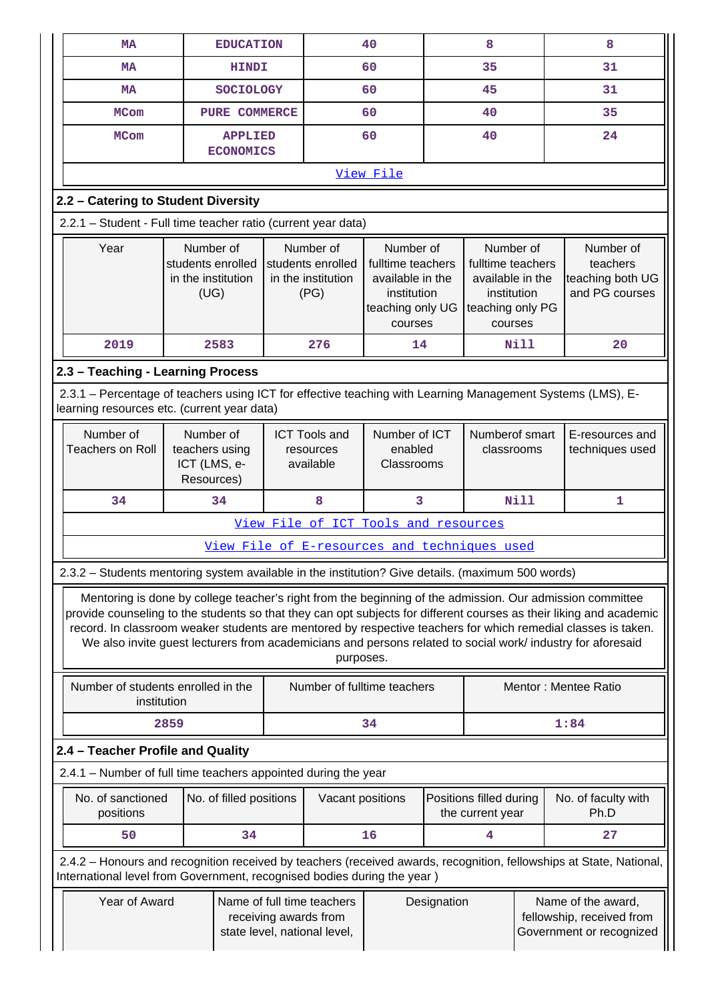| <b>MA</b>                                                                                                                                                                                      | <b>EDUCATION</b>                                                                                                                                                                                                                                                                                                                                                                                                                                                              |  |                                                                                     | 40                                                                                               |             | 8                                                                                                |      | 8                                                                           |
|------------------------------------------------------------------------------------------------------------------------------------------------------------------------------------------------|-------------------------------------------------------------------------------------------------------------------------------------------------------------------------------------------------------------------------------------------------------------------------------------------------------------------------------------------------------------------------------------------------------------------------------------------------------------------------------|--|-------------------------------------------------------------------------------------|--------------------------------------------------------------------------------------------------|-------------|--------------------------------------------------------------------------------------------------|------|-----------------------------------------------------------------------------|
| <b>MA</b>                                                                                                                                                                                      | 60<br>35<br><b>HINDI</b>                                                                                                                                                                                                                                                                                                                                                                                                                                                      |  |                                                                                     | 31                                                                                               |             |                                                                                                  |      |                                                                             |
| <b>MA</b>                                                                                                                                                                                      | <b>SOCIOLOGY</b><br>60                                                                                                                                                                                                                                                                                                                                                                                                                                                        |  | 45                                                                                  |                                                                                                  | 31          |                                                                                                  |      |                                                                             |
| <b>MCom</b>                                                                                                                                                                                    | <b>PURE COMMERCE</b><br>60<br>40                                                                                                                                                                                                                                                                                                                                                                                                                                              |  |                                                                                     |                                                                                                  | 35          |                                                                                                  |      |                                                                             |
| <b>MCom</b>                                                                                                                                                                                    | <b>APPLIED</b><br><b>ECONOMICS</b>                                                                                                                                                                                                                                                                                                                                                                                                                                            |  |                                                                                     | 60                                                                                               |             | 40                                                                                               |      | 24                                                                          |
|                                                                                                                                                                                                |                                                                                                                                                                                                                                                                                                                                                                                                                                                                               |  |                                                                                     | View File                                                                                        |             |                                                                                                  |      |                                                                             |
| 2.2 - Catering to Student Diversity                                                                                                                                                            |                                                                                                                                                                                                                                                                                                                                                                                                                                                                               |  |                                                                                     |                                                                                                  |             |                                                                                                  |      |                                                                             |
| 2.2.1 - Student - Full time teacher ratio (current year data)                                                                                                                                  |                                                                                                                                                                                                                                                                                                                                                                                                                                                                               |  |                                                                                     |                                                                                                  |             |                                                                                                  |      |                                                                             |
| Year                                                                                                                                                                                           | Number of<br>students enrolled<br>in the institution<br>(UG)                                                                                                                                                                                                                                                                                                                                                                                                                  |  | Number of<br>students enrolled<br>in the institution<br>(PG)                        | Number of<br>fulltime teachers<br>available in the<br>institution<br>teaching only UG<br>courses |             | Number of<br>fulltime teachers<br>available in the<br>institution<br>teaching only PG<br>courses |      | Number of<br>teachers<br>teaching both UG<br>and PG courses                 |
| 2019                                                                                                                                                                                           | 2583                                                                                                                                                                                                                                                                                                                                                                                                                                                                          |  | 276                                                                                 | 14                                                                                               |             |                                                                                                  | Nill | 20                                                                          |
| 2.3 - Teaching - Learning Process                                                                                                                                                              |                                                                                                                                                                                                                                                                                                                                                                                                                                                                               |  |                                                                                     |                                                                                                  |             |                                                                                                  |      |                                                                             |
| 2.3.1 - Percentage of teachers using ICT for effective teaching with Learning Management Systems (LMS), E-<br>learning resources etc. (current year data)                                      |                                                                                                                                                                                                                                                                                                                                                                                                                                                                               |  |                                                                                     |                                                                                                  |             |                                                                                                  |      |                                                                             |
| Number of<br><b>Teachers on Roll</b>                                                                                                                                                           | Number of<br>teachers using<br>ICT (LMS, e-<br>Resources)                                                                                                                                                                                                                                                                                                                                                                                                                     |  | <b>ICT Tools and</b><br>resources<br>available                                      | Number of ICT<br>enabled<br>Classrooms                                                           |             | Numberof smart<br>classrooms                                                                     |      | E-resources and<br>techniques used                                          |
| 34                                                                                                                                                                                             | 34                                                                                                                                                                                                                                                                                                                                                                                                                                                                            |  | 8                                                                                   | 3                                                                                                |             |                                                                                                  | Nill | 1                                                                           |
|                                                                                                                                                                                                |                                                                                                                                                                                                                                                                                                                                                                                                                                                                               |  | View File of ICT Tools and resources                                                |                                                                                                  |             |                                                                                                  |      |                                                                             |
|                                                                                                                                                                                                |                                                                                                                                                                                                                                                                                                                                                                                                                                                                               |  | View File of E-resources and techniques used                                        |                                                                                                  |             |                                                                                                  |      |                                                                             |
| 2.3.2 - Students mentoring system available in the institution? Give details. (maximum 500 words)                                                                                              |                                                                                                                                                                                                                                                                                                                                                                                                                                                                               |  |                                                                                     |                                                                                                  |             |                                                                                                  |      |                                                                             |
|                                                                                                                                                                                                | Mentoring is done by college teacher's right from the beginning of the admission. Our admission committee<br>provide counseling to the students so that they can opt subjects for different courses as their liking and academic<br>record. In classroom weaker students are mentored by respective teachers for which remedial classes is taken.<br>We also invite guest lecturers from academicians and persons related to social work/ industry for aforesaid<br>purposes. |  |                                                                                     |                                                                                                  |             |                                                                                                  |      |                                                                             |
| Number of students enrolled in the<br>institution                                                                                                                                              |                                                                                                                                                                                                                                                                                                                                                                                                                                                                               |  | Number of fulltime teachers                                                         |                                                                                                  |             |                                                                                                  |      | Mentor: Mentee Ratio                                                        |
|                                                                                                                                                                                                | 2859                                                                                                                                                                                                                                                                                                                                                                                                                                                                          |  |                                                                                     | 34                                                                                               |             |                                                                                                  |      | 1:84                                                                        |
| 2.4 - Teacher Profile and Quality                                                                                                                                                              |                                                                                                                                                                                                                                                                                                                                                                                                                                                                               |  |                                                                                     |                                                                                                  |             |                                                                                                  |      |                                                                             |
| 2.4.1 – Number of full time teachers appointed during the year                                                                                                                                 |                                                                                                                                                                                                                                                                                                                                                                                                                                                                               |  |                                                                                     |                                                                                                  |             |                                                                                                  |      |                                                                             |
| No. of sanctioned<br>positions                                                                                                                                                                 | No. of filled positions                                                                                                                                                                                                                                                                                                                                                                                                                                                       |  | Vacant positions                                                                    |                                                                                                  |             | Positions filled during<br>the current year                                                      |      | No. of faculty with<br>Ph.D                                                 |
| 50                                                                                                                                                                                             | 34                                                                                                                                                                                                                                                                                                                                                                                                                                                                            |  |                                                                                     | 16                                                                                               |             | 4                                                                                                |      | 27                                                                          |
| 2.4.2 - Honours and recognition received by teachers (received awards, recognition, fellowships at State, National,<br>International level from Government, recognised bodies during the year) |                                                                                                                                                                                                                                                                                                                                                                                                                                                                               |  |                                                                                     |                                                                                                  |             |                                                                                                  |      |                                                                             |
| Year of Award                                                                                                                                                                                  |                                                                                                                                                                                                                                                                                                                                                                                                                                                                               |  | Name of full time teachers<br>receiving awards from<br>state level, national level, |                                                                                                  | Designation |                                                                                                  |      | Name of the award,<br>fellowship, received from<br>Government or recognized |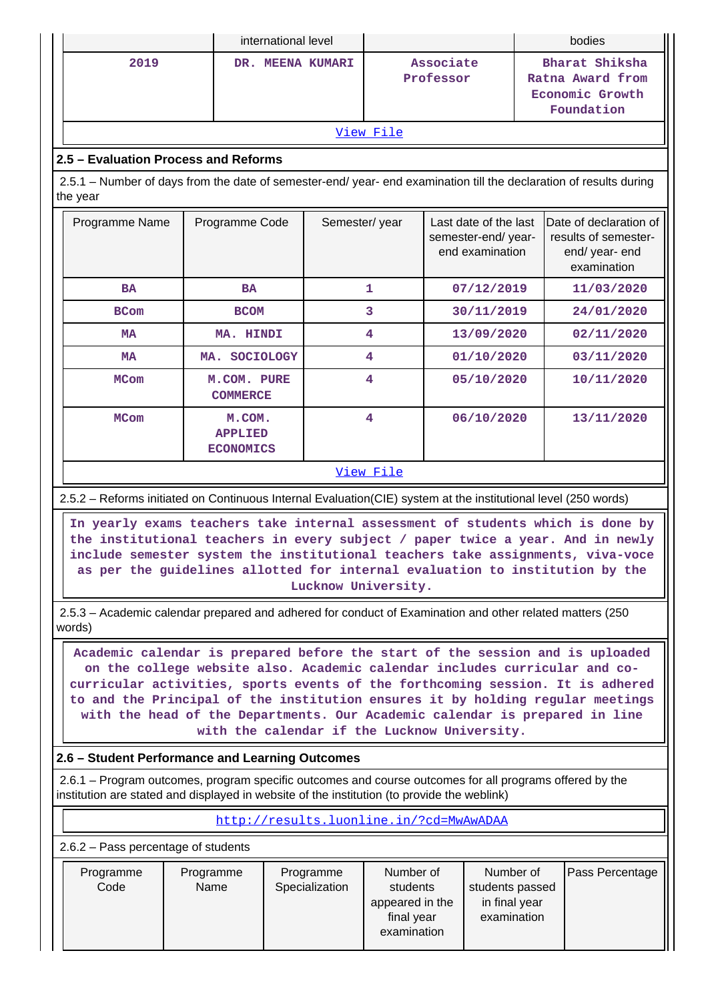|                                                                                                                                | international level                          |               |                        |                                                                |                                                                     | bodies                                                                          |
|--------------------------------------------------------------------------------------------------------------------------------|----------------------------------------------|---------------|------------------------|----------------------------------------------------------------|---------------------------------------------------------------------|---------------------------------------------------------------------------------|
| 2019                                                                                                                           | DR. MEENA KUMARI                             |               | Associate<br>Professor |                                                                | Bharat Shiksha<br>Ratna Award from<br>Economic Growth<br>Foundation |                                                                                 |
|                                                                                                                                |                                              |               | View File              |                                                                |                                                                     |                                                                                 |
| 2.5 - Evaluation Process and Reforms                                                                                           |                                              |               |                        |                                                                |                                                                     |                                                                                 |
| 2.5.1 - Number of days from the date of semester-end/ year- end examination till the declaration of results during<br>the year |                                              |               |                        |                                                                |                                                                     |                                                                                 |
| Programme Name                                                                                                                 | Programme Code                               | Semester/year |                        | Last date of the last<br>semester-end/year-<br>end examination |                                                                     | Date of declaration of<br>results of semester-<br>end/ year- end<br>examination |
| <b>BA</b>                                                                                                                      | <b>BA</b>                                    |               | $\mathbf{1}$           | 07/12/2019                                                     |                                                                     | 11/03/2020                                                                      |
| <b>BCom</b>                                                                                                                    | <b>BCOM</b>                                  |               | 3                      | 30/11/2019                                                     |                                                                     | 24/01/2020                                                                      |
| <b>MA</b>                                                                                                                      | MA. HINDI                                    |               | 4                      | 13/09/2020                                                     |                                                                     | 02/11/2020                                                                      |
| <b>MA</b>                                                                                                                      | <b>SOCIOLOGY</b><br>MA.                      |               | 4                      | 01/10/2020                                                     |                                                                     | 03/11/2020                                                                      |
| <b>MCom</b>                                                                                                                    | M.COM. PURE<br><b>COMMERCE</b>               |               | 4                      | 05/10/2020                                                     |                                                                     | 10/11/2020                                                                      |
| <b>MCom</b>                                                                                                                    | M.COM.<br><b>APPLIED</b><br><b>ECONOMICS</b> |               | 4                      | 06/10/2020                                                     |                                                                     | 13/11/2020                                                                      |
|                                                                                                                                |                                              |               | <u>View File</u>       |                                                                |                                                                     |                                                                                 |

2.5.2 – Reforms initiated on Continuous Internal Evaluation(CIE) system at the institutional level (250 words)

 **In yearly exams teachers take internal assessment of students which is done by the institutional teachers in every subject / paper twice a year. And in newly include semester system the institutional teachers take assignments, viva-voce as per the guidelines allotted for internal evaluation to institution by the Lucknow University.**

 2.5.3 – Academic calendar prepared and adhered for conduct of Examination and other related matters (250 words)

 **Academic calendar is prepared before the start of the session and is uploaded on the college website also. Academic calendar includes curricular and cocurricular activities, sports events of the forthcoming session. It is adhered to and the Principal of the institution ensures it by holding regular meetings with the head of the Departments. Our Academic calendar is prepared in line with the calendar if the Lucknow University.**

#### **2.6 – Student Performance and Learning Outcomes**

 2.6.1 – Program outcomes, program specific outcomes and course outcomes for all programs offered by the institution are stated and displayed in website of the institution (to provide the weblink)

#### <http://results.luonline.in/?cd=MwAwADAA>

2.6.2 – Pass percentage of students

| Programme<br>Code | Programme<br>Name | Programme<br>Specialization | Number of<br>students<br>appeared in the<br>final year<br>examination | Number of<br>students passed<br>in final year<br>examination | <b>Pass Percentage</b> |
|-------------------|-------------------|-----------------------------|-----------------------------------------------------------------------|--------------------------------------------------------------|------------------------|
|-------------------|-------------------|-----------------------------|-----------------------------------------------------------------------|--------------------------------------------------------------|------------------------|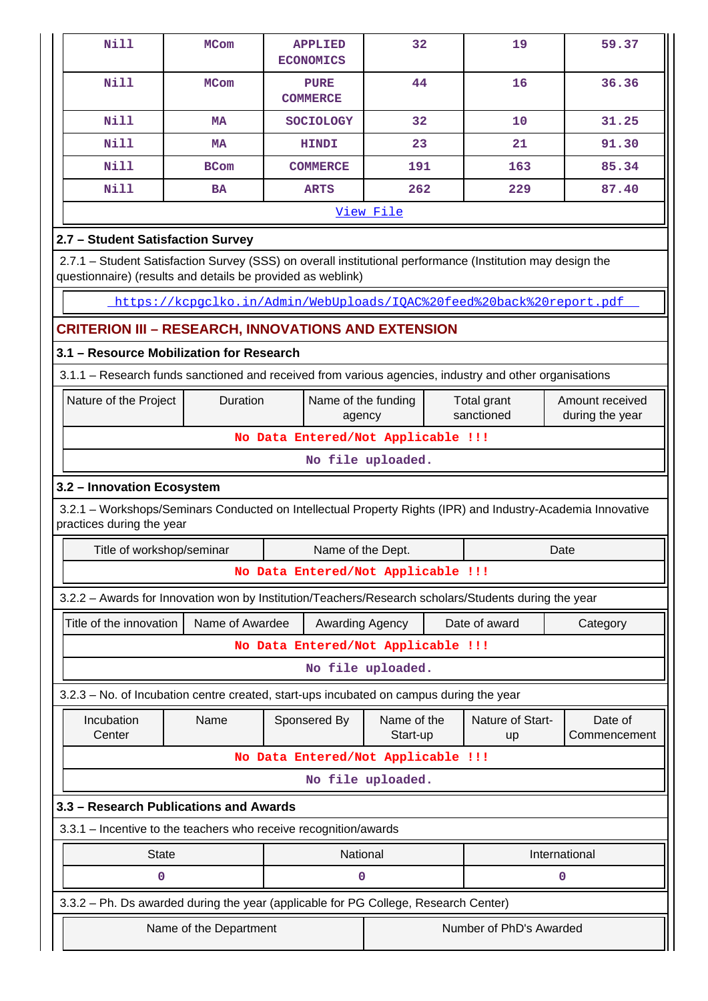| Nill                                                                                                                                                                      | <b>MCom</b>                                                                                                                              | <b>APPLIED</b><br><b>ECONOMICS</b>                                   | 32                      |  | 19               | 59.37           |  |
|---------------------------------------------------------------------------------------------------------------------------------------------------------------------------|------------------------------------------------------------------------------------------------------------------------------------------|----------------------------------------------------------------------|-------------------------|--|------------------|-----------------|--|
| Nill                                                                                                                                                                      | <b>MCom</b>                                                                                                                              | <b>PURE</b><br><b>COMMERCE</b>                                       | 44                      |  | 16               | 36.36           |  |
| <b>Nill</b>                                                                                                                                                               | <b>MA</b>                                                                                                                                | <b>SOCIOLOGY</b>                                                     | 32                      |  | 10               | 31.25           |  |
| Nill                                                                                                                                                                      | <b>MA</b>                                                                                                                                | <b>HINDI</b>                                                         | 23                      |  | 21               | 91.30           |  |
| Nill                                                                                                                                                                      | <b>BCom</b>                                                                                                                              | <b>COMMERCE</b>                                                      | 191                     |  | 163              | 85.34           |  |
| <b>Nill</b>                                                                                                                                                               | <b>BA</b>                                                                                                                                | <b>ARTS</b>                                                          | 262                     |  | 229              | 87.40           |  |
|                                                                                                                                                                           |                                                                                                                                          |                                                                      | View File               |  |                  |                 |  |
| 2.7 - Student Satisfaction Survey                                                                                                                                         |                                                                                                                                          |                                                                      |                         |  |                  |                 |  |
| 2.7.1 - Student Satisfaction Survey (SSS) on overall institutional performance (Institution may design the<br>questionnaire) (results and details be provided as weblink) |                                                                                                                                          |                                                                      |                         |  |                  |                 |  |
|                                                                                                                                                                           |                                                                                                                                          | https://kcpgclko.in/Admin/WebUploads/IOAC%20feed%20back%20report.pdf |                         |  |                  |                 |  |
| <b>CRITERION III - RESEARCH, INNOVATIONS AND EXTENSION</b>                                                                                                                |                                                                                                                                          |                                                                      |                         |  |                  |                 |  |
| 3.1 - Resource Mobilization for Research                                                                                                                                  |                                                                                                                                          |                                                                      |                         |  |                  |                 |  |
| 3.1.1 – Research funds sanctioned and received from various agencies, industry and other organisations                                                                    |                                                                                                                                          |                                                                      |                         |  |                  |                 |  |
| Nature of the Project                                                                                                                                                     | Duration                                                                                                                                 | Name of the funding                                                  |                         |  | Total grant      | Amount received |  |
|                                                                                                                                                                           |                                                                                                                                          | agency                                                               |                         |  | sanctioned       | during the year |  |
|                                                                                                                                                                           |                                                                                                                                          | No Data Entered/Not Applicable !!!                                   |                         |  |                  |                 |  |
|                                                                                                                                                                           | No file uploaded.                                                                                                                        |                                                                      |                         |  |                  |                 |  |
| 3.2 - Innovation Ecosystem                                                                                                                                                |                                                                                                                                          |                                                                      |                         |  |                  |                 |  |
|                                                                                                                                                                           | 3.2.1 – Workshops/Seminars Conducted on Intellectual Property Rights (IPR) and Industry-Academia Innovative<br>practices during the year |                                                                      |                         |  |                  |                 |  |
| Title of workshop/seminar                                                                                                                                                 |                                                                                                                                          | Name of the Dept.                                                    |                         |  |                  | Date            |  |
|                                                                                                                                                                           |                                                                                                                                          | No Data Entered/Not Applicable !!!                                   |                         |  |                  |                 |  |
| 3.2.2 - Awards for Innovation won by Institution/Teachers/Research scholars/Students during the year                                                                      |                                                                                                                                          |                                                                      |                         |  |                  |                 |  |
| Title of the innovation                                                                                                                                                   | Name of Awardee                                                                                                                          | Awarding Agency                                                      |                         |  | Date of award    | Category        |  |
|                                                                                                                                                                           |                                                                                                                                          | No Data Entered/Not Applicable !!!                                   |                         |  |                  |                 |  |
|                                                                                                                                                                           |                                                                                                                                          |                                                                      | No file uploaded.       |  |                  |                 |  |
| 3.2.3 - No. of Incubation centre created, start-ups incubated on campus during the year                                                                                   |                                                                                                                                          |                                                                      |                         |  |                  |                 |  |
| Incubation                                                                                                                                                                | Name                                                                                                                                     | Sponsered By                                                         | Name of the             |  | Nature of Start- | Date of         |  |
| Center                                                                                                                                                                    |                                                                                                                                          |                                                                      | Start-up                |  | up               | Commencement    |  |
|                                                                                                                                                                           |                                                                                                                                          | No Data Entered/Not Applicable !!!                                   |                         |  |                  |                 |  |
|                                                                                                                                                                           |                                                                                                                                          |                                                                      | No file uploaded.       |  |                  |                 |  |
| 3.3 - Research Publications and Awards                                                                                                                                    |                                                                                                                                          |                                                                      |                         |  |                  |                 |  |
| 3.3.1 - Incentive to the teachers who receive recognition/awards                                                                                                          |                                                                                                                                          |                                                                      |                         |  |                  |                 |  |
| <b>State</b>                                                                                                                                                              |                                                                                                                                          | National                                                             |                         |  |                  | International   |  |
| 0                                                                                                                                                                         |                                                                                                                                          | 0                                                                    |                         |  |                  | 0               |  |
| 3.3.2 - Ph. Ds awarded during the year (applicable for PG College, Research Center)                                                                                       |                                                                                                                                          |                                                                      |                         |  |                  |                 |  |
|                                                                                                                                                                           | Name of the Department                                                                                                                   |                                                                      | Number of PhD's Awarded |  |                  |                 |  |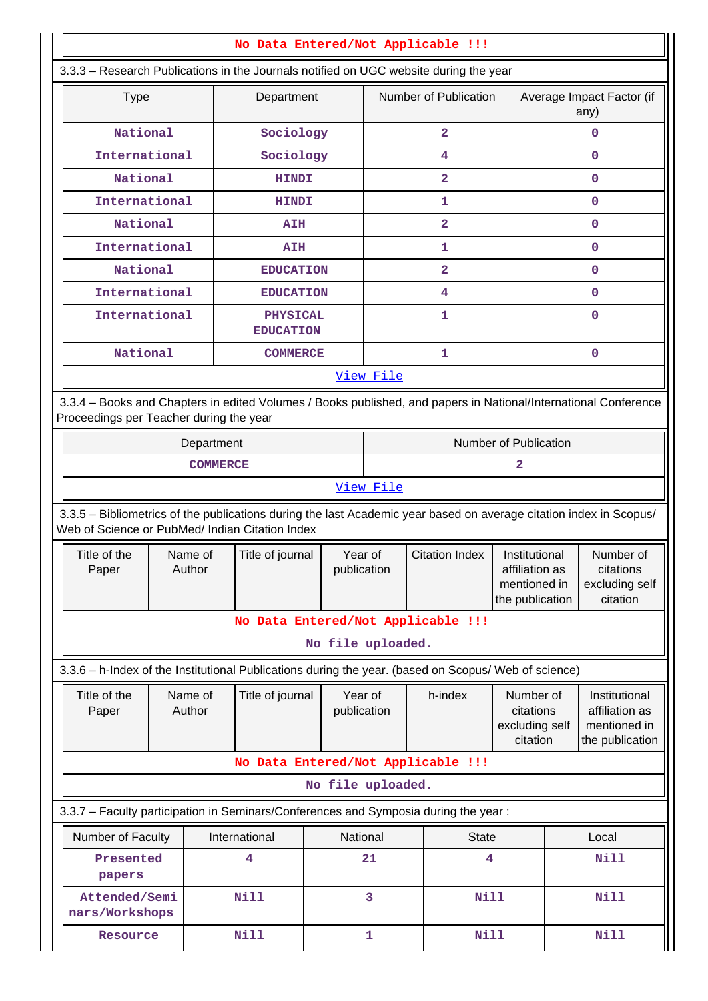| No Data Entered/Not Applicable !!!                                                                                                                                    |                           |                   |                                     |                                                 |                |                                                                    |                         |                                                      |   |                                                                    |
|-----------------------------------------------------------------------------------------------------------------------------------------------------------------------|---------------------------|-------------------|-------------------------------------|-------------------------------------------------|----------------|--------------------------------------------------------------------|-------------------------|------------------------------------------------------|---|--------------------------------------------------------------------|
| 3.3.3 - Research Publications in the Journals notified on UGC website during the year                                                                                 |                           |                   |                                     |                                                 |                |                                                                    |                         |                                                      |   |                                                                    |
|                                                                                                                                                                       | <b>Type</b><br>Department |                   |                                     |                                                 |                |                                                                    | Number of Publication   |                                                      |   | Average Impact Factor (if<br>any)                                  |
| National                                                                                                                                                              |                           |                   | Sociology                           |                                                 | $\overline{a}$ |                                                                    |                         |                                                      | 0 |                                                                    |
| International                                                                                                                                                         |                           |                   | Sociology                           |                                                 |                |                                                                    | 4                       |                                                      |   | 0                                                                  |
| National                                                                                                                                                              |                           |                   | <b>HINDI</b>                        |                                                 |                |                                                                    | $\overline{\mathbf{2}}$ |                                                      |   | $\mathbf 0$                                                        |
| International                                                                                                                                                         |                           |                   | <b>HINDI</b>                        |                                                 |                |                                                                    | 1                       |                                                      |   | $\mathbf 0$                                                        |
| National                                                                                                                                                              |                           |                   | <b>AIH</b>                          |                                                 |                |                                                                    | $\overline{2}$          |                                                      |   | $\mathbf 0$                                                        |
| International                                                                                                                                                         |                           |                   | <b>AIH</b>                          |                                                 |                |                                                                    | 1                       |                                                      |   | $\mathbf 0$                                                        |
| National                                                                                                                                                              |                           |                   | <b>EDUCATION</b>                    |                                                 |                |                                                                    | $\overline{\mathbf{2}}$ |                                                      |   | 0                                                                  |
| International                                                                                                                                                         |                           |                   | <b>EDUCATION</b>                    |                                                 |                |                                                                    | 4                       |                                                      |   | $\mathbf 0$                                                        |
| International                                                                                                                                                         |                           |                   | <b>PHYSICAL</b><br><b>EDUCATION</b> |                                                 |                |                                                                    | 1.                      |                                                      |   | $\mathbf 0$                                                        |
| National                                                                                                                                                              |                           |                   | <b>COMMERCE</b>                     |                                                 |                |                                                                    | 1                       |                                                      |   | $\mathbf 0$                                                        |
|                                                                                                                                                                       |                           |                   |                                     |                                                 | View File      |                                                                    |                         |                                                      |   |                                                                    |
| 3.3.4 - Books and Chapters in edited Volumes / Books published, and papers in National/International Conference<br>Proceedings per Teacher during the year            |                           |                   |                                     |                                                 |                |                                                                    |                         |                                                      |   |                                                                    |
|                                                                                                                                                                       |                           | Department        |                                     |                                                 |                |                                                                    |                         | Number of Publication                                |   |                                                                    |
|                                                                                                                                                                       |                           | <b>COMMERCE</b>   |                                     |                                                 | 2              |                                                                    |                         |                                                      |   |                                                                    |
|                                                                                                                                                                       |                           |                   |                                     |                                                 | View File      |                                                                    |                         |                                                      |   |                                                                    |
| 3.3.5 - Bibliometrics of the publications during the last Academic year based on average citation index in Scopus/<br>Web of Science or PubMed/ Indian Citation Index |                           |                   |                                     |                                                 |                |                                                                    |                         |                                                      |   |                                                                    |
| Title of the<br>Paper                                                                                                                                                 |                           | Name of<br>Author | Title of journal                    | Year of<br><b>Citation Index</b><br>publication |                | Institutional<br>affiliation as<br>mentioned in<br>the publication |                         | Number of<br>citations<br>excluding self<br>citation |   |                                                                    |
|                                                                                                                                                                       |                           |                   | No Data Entered/Not Applicable !!!  |                                                 |                |                                                                    |                         |                                                      |   |                                                                    |
|                                                                                                                                                                       |                           |                   |                                     | No file uploaded.                               |                |                                                                    |                         |                                                      |   |                                                                    |
| 3.3.6 - h-Index of the Institutional Publications during the year. (based on Scopus/ Web of science)                                                                  |                           |                   |                                     |                                                 |                |                                                                    |                         |                                                      |   |                                                                    |
| Title of the<br>Paper                                                                                                                                                 | Name of<br>Author         |                   | Title of journal                    | publication                                     | Year of        |                                                                    | h-index                 | Number of<br>citations<br>excluding self<br>citation |   | Institutional<br>affiliation as<br>mentioned in<br>the publication |
|                                                                                                                                                                       |                           |                   | No Data Entered/Not Applicable !!!  |                                                 |                |                                                                    |                         |                                                      |   |                                                                    |
|                                                                                                                                                                       |                           |                   |                                     | No file uploaded.                               |                |                                                                    |                         |                                                      |   |                                                                    |
| 3.3.7 - Faculty participation in Seminars/Conferences and Symposia during the year:                                                                                   |                           |                   |                                     |                                                 |                |                                                                    |                         |                                                      |   |                                                                    |
| Number of Faculty                                                                                                                                                     |                           |                   | International                       | National                                        |                |                                                                    | <b>State</b>            |                                                      |   | Local                                                              |
| Presented<br>papers                                                                                                                                                   |                           |                   | 4                                   |                                                 | 21             |                                                                    | 4                       |                                                      |   | <b>Nill</b>                                                        |
| Attended/Semi<br>nars/Workshops                                                                                                                                       |                           |                   | <b>Nill</b>                         |                                                 | 3              |                                                                    | Nill                    |                                                      |   | <b>Nill</b>                                                        |
| Resource                                                                                                                                                              |                           |                   | <b>Nill</b>                         |                                                 | $\mathbf{1}$   |                                                                    | <b>Nill</b>             |                                                      |   | <b>Nill</b>                                                        |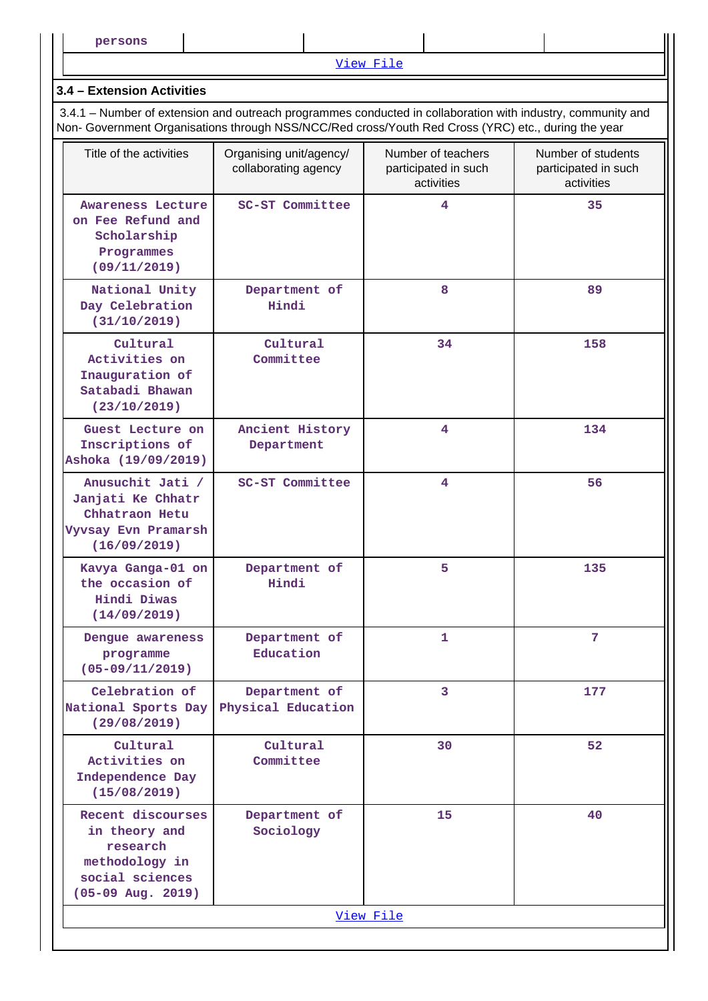[View File](https://assessmentonline.naac.gov.in/public/Postacc/Faculty_participation/17367_Faculty_participation_1640861224.xlsx)

#### **3.4 – Extension Activities**

 3.4.1 – Number of extension and outreach programmes conducted in collaboration with industry, community and Non- Government Organisations through NSS/NCC/Red cross/Youth Red Cross (YRC) etc., during the year

| Title of the activities                                                                                    | Organising unit/agency/<br>collaborating agency | Number of teachers<br>participated in such<br>activities | Number of students<br>participated in such<br>activities |
|------------------------------------------------------------------------------------------------------------|-------------------------------------------------|----------------------------------------------------------|----------------------------------------------------------|
| <b>Awareness Lecture</b><br>on Fee Refund and<br>Scholarship<br>Programmes<br>(09/11/2019)                 | SC-ST Committee                                 | $\overline{\mathbf{4}}$                                  | 35                                                       |
| National Unity<br>Day Celebration<br>(31/10/2019)                                                          | Department of<br>Hindi                          | 8                                                        | 89                                                       |
| Cultural<br>Activities on<br>Inauguration of<br>Satabadi Bhawan<br>(23/10/2019)                            | Cultural<br>Committee                           | 34                                                       | 158                                                      |
| Guest Lecture on<br>Inscriptions of<br>Ashoka (19/09/2019)                                                 | Ancient History<br>Department                   | $\overline{\mathbf{4}}$                                  | 134                                                      |
| Anusuchit Jati /<br>Janjati Ke Chhatr<br>Chhatraon Hetu<br>Vyvsay Evn Pramarsh<br>(16/09/2019)             | SC-ST Committee                                 | $\overline{\mathbf{4}}$                                  | 56                                                       |
| Kavya Ganga-01 on<br>the occasion of<br>Hindi Diwas<br>(14/09/2019)                                        | Department of<br>Hindi                          | 5                                                        | 135                                                      |
| Dengue awareness<br>programme<br>$(05-09/11/2019)$                                                         | Department of<br>Education                      | $\mathbf{1}$                                             | 7                                                        |
| Celebration of<br>National Sports Day<br>(29/08/2019)                                                      | Department of<br>Physical Education             | 3                                                        | 177                                                      |
| Cultural<br>Activities on<br>Independence Day<br>(15/08/2019)                                              | Cultural<br>Committee                           | 30                                                       | 52                                                       |
| Recent discourses<br>in theory and<br>research<br>methodology in<br>social sciences<br>$(05-09$ Aug. 2019) | Department of<br>Sociology                      | 15                                                       | 40                                                       |
|                                                                                                            |                                                 | View File                                                |                                                          |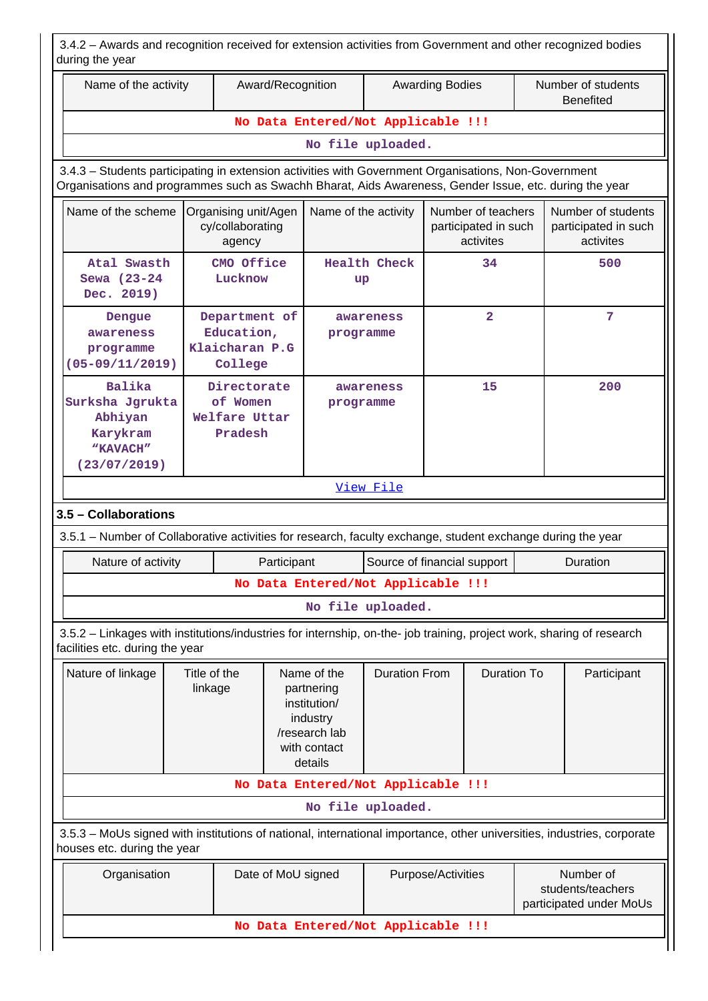| Name of the activity                                                                                                                                                                                           |                                                                                                                              |                                                          | Award/Recognition    |                                    |                             | <b>Awarding Bodies</b>         |                                                         |  | Number of students<br><b>Benefited</b>                  |
|----------------------------------------------------------------------------------------------------------------------------------------------------------------------------------------------------------------|------------------------------------------------------------------------------------------------------------------------------|----------------------------------------------------------|----------------------|------------------------------------|-----------------------------|--------------------------------|---------------------------------------------------------|--|---------------------------------------------------------|
|                                                                                                                                                                                                                |                                                                                                                              |                                                          |                      | No Data Entered/Not Applicable !!! |                             |                                |                                                         |  |                                                         |
|                                                                                                                                                                                                                |                                                                                                                              |                                                          |                      | No file uploaded.                  |                             |                                |                                                         |  |                                                         |
| 3.4.3 - Students participating in extension activities with Government Organisations, Non-Government<br>Organisations and programmes such as Swachh Bharat, Aids Awareness, Gender Issue, etc. during the year |                                                                                                                              |                                                          |                      |                                    |                             |                                |                                                         |  |                                                         |
| Name of the scheme                                                                                                                                                                                             |                                                                                                                              | Organising unit/Agen<br>cy/collaborating<br>agency       |                      | Name of the activity               |                             |                                | Number of teachers<br>participated in such<br>activites |  | Number of students<br>participated in such<br>activites |
| Atal Swasth<br>Sewa (23-24<br>Dec. 2019)                                                                                                                                                                       |                                                                                                                              | CMO Office<br>Lucknow                                    |                      | up                                 | <b>Health Check</b>         |                                | 34                                                      |  | 500                                                     |
| Dengue<br>awareness<br>programme<br>$(05 - 09/11/2019)$                                                                                                                                                        |                                                                                                                              | Department of<br>Education,<br>Klaicharan P.G<br>College |                      | programme                          | awareness                   |                                | $\overline{\mathbf{2}}$                                 |  | 7                                                       |
| <b>Balika</b><br>Surksha Jgrukta<br>Abhiyan<br>Karykram<br>"KAVACH"<br>(23/07/2019)                                                                                                                            | Directorate<br>15<br>awareness<br>of Women<br>programme<br>Welfare Uttar<br>Pradesh                                          |                                                          |                      |                                    | 200                         |                                |                                                         |  |                                                         |
|                                                                                                                                                                                                                |                                                                                                                              |                                                          |                      |                                    | View File                   |                                |                                                         |  |                                                         |
| 3.5 - Collaborations                                                                                                                                                                                           |                                                                                                                              |                                                          |                      |                                    |                             |                                |                                                         |  |                                                         |
| 3.5.1 – Number of Collaborative activities for research, faculty exchange, student exchange during the year                                                                                                    |                                                                                                                              |                                                          |                      |                                    |                             |                                |                                                         |  |                                                         |
| Nature of activity                                                                                                                                                                                             |                                                                                                                              |                                                          | Participant          |                                    | Source of financial support |                                |                                                         |  | Duration                                                |
|                                                                                                                                                                                                                |                                                                                                                              |                                                          |                      | No Data Entered/Not Applicable !!! |                             |                                |                                                         |  |                                                         |
|                                                                                                                                                                                                                |                                                                                                                              |                                                          |                      | No file uploaded.                  |                             |                                |                                                         |  |                                                         |
| 3.5.2 - Linkages with institutions/industries for internship, on-the- job training, project work, sharing of research<br>facilities etc. during the year                                                       |                                                                                                                              |                                                          |                      |                                    |                             |                                |                                                         |  |                                                         |
| Nature of linkage                                                                                                                                                                                              | Title of the<br>Name of the<br>linkage<br>partnering<br>institution/<br>industry<br>/research lab<br>with contact<br>details |                                                          | <b>Duration From</b> |                                    | <b>Duration To</b>          |                                | Participant                                             |  |                                                         |
|                                                                                                                                                                                                                |                                                                                                                              |                                                          |                      | No Data Entered/Not Applicable !!! |                             |                                |                                                         |  |                                                         |
|                                                                                                                                                                                                                |                                                                                                                              |                                                          |                      | No file uploaded.                  |                             |                                |                                                         |  |                                                         |
| 3.5.3 - MoUs signed with institutions of national, international importance, other universities, industries, corporate<br>houses etc. during the year                                                          |                                                                                                                              |                                                          |                      |                                    |                             |                                |                                                         |  |                                                         |
| Organisation<br>Date of MoU signed                                                                                                                                                                             |                                                                                                                              |                                                          | Purpose/Activities   |                                    |                             | Number of<br>students/teachers |                                                         |  |                                                         |
| participated under MoUs                                                                                                                                                                                        |                                                                                                                              |                                                          |                      |                                    |                             |                                |                                                         |  |                                                         |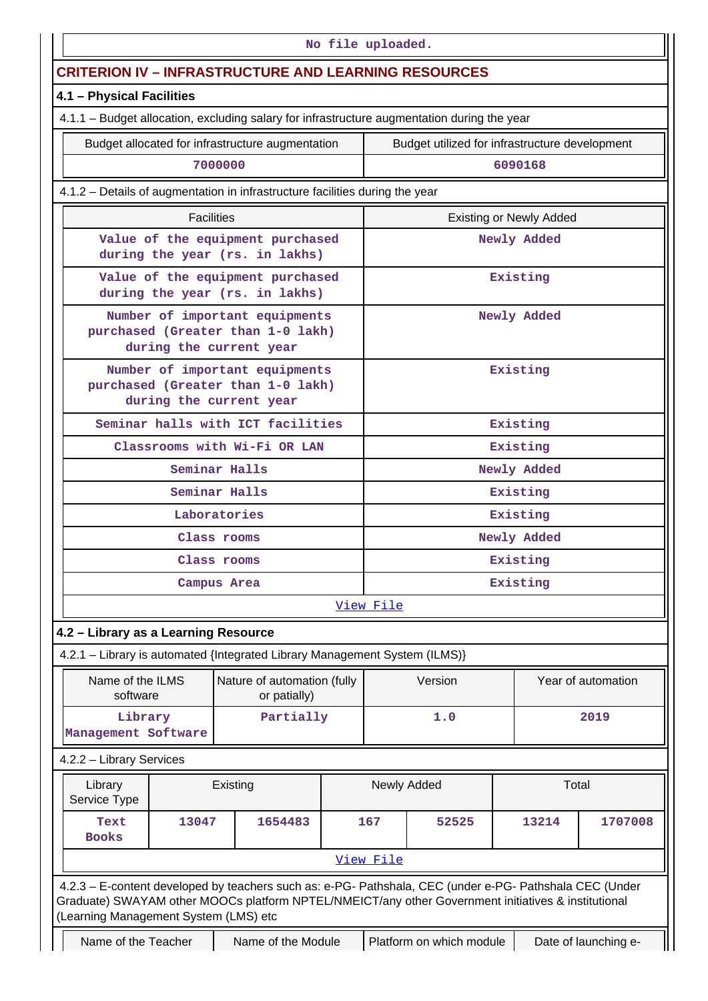| No file uploaded.                                                                                                                                                                                                                                       |                                                                        |             |           |                                                |                                |                    |  |  |  |
|---------------------------------------------------------------------------------------------------------------------------------------------------------------------------------------------------------------------------------------------------------|------------------------------------------------------------------------|-------------|-----------|------------------------------------------------|--------------------------------|--------------------|--|--|--|
|                                                                                                                                                                                                                                                         | <b>CRITERION IV – INFRASTRUCTURE AND LEARNING RESOURCES</b>            |             |           |                                                |                                |                    |  |  |  |
| 4.1 - Physical Facilities                                                                                                                                                                                                                               |                                                                        |             |           |                                                |                                |                    |  |  |  |
| 4.1.1 - Budget allocation, excluding salary for infrastructure augmentation during the year                                                                                                                                                             |                                                                        |             |           |                                                |                                |                    |  |  |  |
| Budget allocated for infrastructure augmentation                                                                                                                                                                                                        |                                                                        |             |           | Budget utilized for infrastructure development |                                |                    |  |  |  |
|                                                                                                                                                                                                                                                         | 7000000                                                                |             |           |                                                | 6090168                        |                    |  |  |  |
| 4.1.2 - Details of augmentation in infrastructure facilities during the year                                                                                                                                                                            |                                                                        |             |           |                                                |                                |                    |  |  |  |
|                                                                                                                                                                                                                                                         | <b>Facilities</b>                                                      |             |           |                                                | <b>Existing or Newly Added</b> |                    |  |  |  |
| Value of the equipment purchased<br>during the year (rs. in lakhs)                                                                                                                                                                                      |                                                                        |             |           |                                                | Newly Added                    |                    |  |  |  |
| Value of the equipment purchased<br>during the year (rs. in lakhs)                                                                                                                                                                                      |                                                                        |             |           |                                                | Existing                       |                    |  |  |  |
| purchased (Greater than 1-0 lakh)                                                                                                                                                                                                                       | Number of important equipments<br>during the current year              |             |           |                                                | Newly Added                    |                    |  |  |  |
| purchased (Greater than 1-0 lakh)                                                                                                                                                                                                                       | Number of important equipments<br>during the current year              |             |           | Existing                                       |                                |                    |  |  |  |
| Seminar halls with ICT facilities                                                                                                                                                                                                                       |                                                                        |             |           |                                                | Existing                       |                    |  |  |  |
|                                                                                                                                                                                                                                                         | Classrooms with Wi-Fi OR LAN                                           |             | Existing  |                                                |                                |                    |  |  |  |
|                                                                                                                                                                                                                                                         | Seminar Halls                                                          | Newly Added |           |                                                |                                |                    |  |  |  |
|                                                                                                                                                                                                                                                         | Seminar Halls                                                          |             | Existing  |                                                |                                |                    |  |  |  |
|                                                                                                                                                                                                                                                         | Laboratories                                                           |             | Existing  |                                                |                                |                    |  |  |  |
|                                                                                                                                                                                                                                                         | Class rooms                                                            |             |           |                                                | Newly Added                    |                    |  |  |  |
|                                                                                                                                                                                                                                                         | Class rooms                                                            |             | Existing  |                                                |                                |                    |  |  |  |
|                                                                                                                                                                                                                                                         | Campus Area                                                            |             | Existing  |                                                |                                |                    |  |  |  |
|                                                                                                                                                                                                                                                         |                                                                        |             | View File |                                                |                                |                    |  |  |  |
| 4.2 - Library as a Learning Resource                                                                                                                                                                                                                    |                                                                        |             |           |                                                |                                |                    |  |  |  |
| 4.2.1 - Library is automated {Integrated Library Management System (ILMS)}                                                                                                                                                                              |                                                                        |             |           |                                                |                                |                    |  |  |  |
| Name of the ILMS<br>software                                                                                                                                                                                                                            | Nature of automation (fully<br>or patially)                            |             |           | Version                                        |                                | Year of automation |  |  |  |
| Library<br>Management Software                                                                                                                                                                                                                          | Partially                                                              |             |           | 1.0                                            |                                | 2019               |  |  |  |
| 4.2.2 - Library Services                                                                                                                                                                                                                                |                                                                        |             |           |                                                |                                |                    |  |  |  |
| Library<br>Service Type                                                                                                                                                                                                                                 | Existing                                                               |             |           | Newly Added                                    |                                | Total              |  |  |  |
| Text<br><b>Books</b>                                                                                                                                                                                                                                    | 13047<br>1654483                                                       |             |           | 1707008<br>167<br>52525<br>13214               |                                |                    |  |  |  |
|                                                                                                                                                                                                                                                         |                                                                        |             | View File |                                                |                                |                    |  |  |  |
| 4.2.3 - E-content developed by teachers such as: e-PG- Pathshala, CEC (under e-PG- Pathshala CEC (Under<br>Graduate) SWAYAM other MOOCs platform NPTEL/NMEICT/any other Government initiatives & institutional<br>(Learning Management System (LMS) etc |                                                                        |             |           |                                                |                                |                    |  |  |  |
| Name of the Teacher                                                                                                                                                                                                                                     | Platform on which module<br>Name of the Module<br>Date of launching e- |             |           |                                                |                                |                    |  |  |  |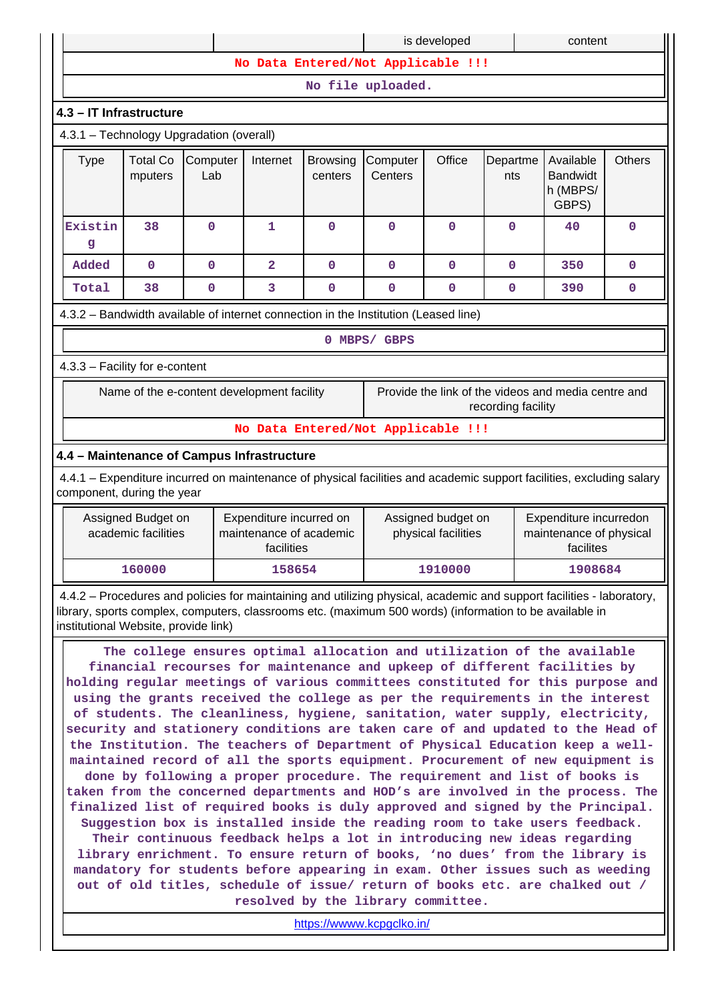| No Data Entered/Not Applicable !!!                                                                                                                                                                                                                                                                                                                                                                                                                                                                                                                                                                                                                                                                                                                                                                                                                                                                                                                                                                                                                                                                                                                                                                                                                                                                                                                                    |                 |                                                                                                                                 |                                          |                                                                                                                  |              |                                                                                                                |                                                   |                                                                                                                                                                                                                                                                                                                                                                                                                                                             |
|-----------------------------------------------------------------------------------------------------------------------------------------------------------------------------------------------------------------------------------------------------------------------------------------------------------------------------------------------------------------------------------------------------------------------------------------------------------------------------------------------------------------------------------------------------------------------------------------------------------------------------------------------------------------------------------------------------------------------------------------------------------------------------------------------------------------------------------------------------------------------------------------------------------------------------------------------------------------------------------------------------------------------------------------------------------------------------------------------------------------------------------------------------------------------------------------------------------------------------------------------------------------------------------------------------------------------------------------------------------------------|-----------------|---------------------------------------------------------------------------------------------------------------------------------|------------------------------------------|------------------------------------------------------------------------------------------------------------------|--------------|----------------------------------------------------------------------------------------------------------------|---------------------------------------------------|-------------------------------------------------------------------------------------------------------------------------------------------------------------------------------------------------------------------------------------------------------------------------------------------------------------------------------------------------------------------------------------------------------------------------------------------------------------|
| No file uploaded.                                                                                                                                                                                                                                                                                                                                                                                                                                                                                                                                                                                                                                                                                                                                                                                                                                                                                                                                                                                                                                                                                                                                                                                                                                                                                                                                                     |                 |                                                                                                                                 |                                          |                                                                                                                  |              |                                                                                                                |                                                   |                                                                                                                                                                                                                                                                                                                                                                                                                                                             |
|                                                                                                                                                                                                                                                                                                                                                                                                                                                                                                                                                                                                                                                                                                                                                                                                                                                                                                                                                                                                                                                                                                                                                                                                                                                                                                                                                                       |                 |                                                                                                                                 |                                          |                                                                                                                  |              |                                                                                                                |                                                   |                                                                                                                                                                                                                                                                                                                                                                                                                                                             |
|                                                                                                                                                                                                                                                                                                                                                                                                                                                                                                                                                                                                                                                                                                                                                                                                                                                                                                                                                                                                                                                                                                                                                                                                                                                                                                                                                                       |                 |                                                                                                                                 |                                          |                                                                                                                  |              |                                                                                                                |                                                   |                                                                                                                                                                                                                                                                                                                                                                                                                                                             |
| <b>Total Co</b><br>mputers                                                                                                                                                                                                                                                                                                                                                                                                                                                                                                                                                                                                                                                                                                                                                                                                                                                                                                                                                                                                                                                                                                                                                                                                                                                                                                                                            | Computer<br>Lab | Internet                                                                                                                        | <b>Browsing</b><br>centers               | Computer<br>Centers                                                                                              | Office       | Departme<br>nts                                                                                                | Available<br><b>Bandwidt</b><br>h (MBPS/<br>GBPS) | <b>Others</b>                                                                                                                                                                                                                                                                                                                                                                                                                                               |
| 38                                                                                                                                                                                                                                                                                                                                                                                                                                                                                                                                                                                                                                                                                                                                                                                                                                                                                                                                                                                                                                                                                                                                                                                                                                                                                                                                                                    | $\mathbf 0$     | 1                                                                                                                               | $\mathbf{0}$                             | $\mathbf 0$                                                                                                      | $\mathbf 0$  | $\mathbf{0}$                                                                                                   | 40                                                | $\mathbf 0$                                                                                                                                                                                                                                                                                                                                                                                                                                                 |
| $\mathbf 0$                                                                                                                                                                                                                                                                                                                                                                                                                                                                                                                                                                                                                                                                                                                                                                                                                                                                                                                                                                                                                                                                                                                                                                                                                                                                                                                                                           | $\mathbf 0$     | $\overline{a}$                                                                                                                  | $\mathbf{0}$                             | $\mathbf 0$                                                                                                      | $\mathbf 0$  | $\mathbf{0}$                                                                                                   | 350                                               | $\mathbf 0$                                                                                                                                                                                                                                                                                                                                                                                                                                                 |
| 38                                                                                                                                                                                                                                                                                                                                                                                                                                                                                                                                                                                                                                                                                                                                                                                                                                                                                                                                                                                                                                                                                                                                                                                                                                                                                                                                                                    | 0               | 3                                                                                                                               | $\mathbf 0$                              | $\mathbf 0$                                                                                                      | $\mathbf 0$  | $\mathbf 0$                                                                                                    | 390                                               | 0                                                                                                                                                                                                                                                                                                                                                                                                                                                           |
|                                                                                                                                                                                                                                                                                                                                                                                                                                                                                                                                                                                                                                                                                                                                                                                                                                                                                                                                                                                                                                                                                                                                                                                                                                                                                                                                                                       |                 |                                                                                                                                 |                                          |                                                                                                                  |              |                                                                                                                |                                                   |                                                                                                                                                                                                                                                                                                                                                                                                                                                             |
|                                                                                                                                                                                                                                                                                                                                                                                                                                                                                                                                                                                                                                                                                                                                                                                                                                                                                                                                                                                                                                                                                                                                                                                                                                                                                                                                                                       |                 |                                                                                                                                 |                                          |                                                                                                                  |              |                                                                                                                |                                                   |                                                                                                                                                                                                                                                                                                                                                                                                                                                             |
|                                                                                                                                                                                                                                                                                                                                                                                                                                                                                                                                                                                                                                                                                                                                                                                                                                                                                                                                                                                                                                                                                                                                                                                                                                                                                                                                                                       |                 |                                                                                                                                 |                                          |                                                                                                                  |              |                                                                                                                |                                                   |                                                                                                                                                                                                                                                                                                                                                                                                                                                             |
|                                                                                                                                                                                                                                                                                                                                                                                                                                                                                                                                                                                                                                                                                                                                                                                                                                                                                                                                                                                                                                                                                                                                                                                                                                                                                                                                                                       |                 |                                                                                                                                 |                                          |                                                                                                                  |              |                                                                                                                |                                                   |                                                                                                                                                                                                                                                                                                                                                                                                                                                             |
|                                                                                                                                                                                                                                                                                                                                                                                                                                                                                                                                                                                                                                                                                                                                                                                                                                                                                                                                                                                                                                                                                                                                                                                                                                                                                                                                                                       |                 |                                                                                                                                 |                                          |                                                                                                                  |              |                                                                                                                |                                                   |                                                                                                                                                                                                                                                                                                                                                                                                                                                             |
|                                                                                                                                                                                                                                                                                                                                                                                                                                                                                                                                                                                                                                                                                                                                                                                                                                                                                                                                                                                                                                                                                                                                                                                                                                                                                                                                                                       |                 |                                                                                                                                 |                                          |                                                                                                                  |              |                                                                                                                |                                                   |                                                                                                                                                                                                                                                                                                                                                                                                                                                             |
|                                                                                                                                                                                                                                                                                                                                                                                                                                                                                                                                                                                                                                                                                                                                                                                                                                                                                                                                                                                                                                                                                                                                                                                                                                                                                                                                                                       |                 |                                                                                                                                 |                                          |                                                                                                                  |              |                                                                                                                |                                                   |                                                                                                                                                                                                                                                                                                                                                                                                                                                             |
| Expenditure incurred on<br>Expenditure incurredon<br>Assigned Budget on<br>Assigned budget on<br>academic facilities<br>maintenance of academic<br>physical facilities<br>maintenance of physical<br>facilites                                                                                                                                                                                                                                                                                                                                                                                                                                                                                                                                                                                                                                                                                                                                                                                                                                                                                                                                                                                                                                                                                                                                                        |                 |                                                                                                                                 |                                          |                                                                                                                  |              |                                                                                                                |                                                   |                                                                                                                                                                                                                                                                                                                                                                                                                                                             |
|                                                                                                                                                                                                                                                                                                                                                                                                                                                                                                                                                                                                                                                                                                                                                                                                                                                                                                                                                                                                                                                                                                                                                                                                                                                                                                                                                                       |                 |                                                                                                                                 |                                          |                                                                                                                  |              |                                                                                                                |                                                   |                                                                                                                                                                                                                                                                                                                                                                                                                                                             |
|                                                                                                                                                                                                                                                                                                                                                                                                                                                                                                                                                                                                                                                                                                                                                                                                                                                                                                                                                                                                                                                                                                                                                                                                                                                                                                                                                                       |                 |                                                                                                                                 |                                          |                                                                                                                  |              |                                                                                                                |                                                   |                                                                                                                                                                                                                                                                                                                                                                                                                                                             |
| The college ensures optimal allocation and utilization of the available<br>financial recourses for maintenance and upkeep of different facilities by<br>holding regular meetings of various committees constituted for this purpose and<br>using the grants received the college as per the requirements in the interest<br>of students. The cleanliness, hygiene, sanitation, water supply, electricity,<br>security and stationery conditions are taken care of and updated to the Head of<br>the Institution. The teachers of Department of Physical Education keep a well-<br>maintained record of all the sports equipment. Procurement of new equipment is<br>done by following a proper procedure. The requirement and list of books is<br>taken from the concerned departments and HOD's are involved in the process. The<br>finalized list of required books is duly approved and signed by the Principal.<br>Suggestion box is installed inside the reading room to take users feedback.<br>Their continuous feedback helps a lot in introducing new ideas regarding<br>library enrichment. To ensure return of books, 'no dues' from the library is<br>mandatory for students before appearing in exam. Other issues such as weeding<br>out of old titles, schedule of issue/ return of books etc. are chalked out /<br>resolved by the library committee. |                 |                                                                                                                                 |                                          |                                                                                                                  |              |                                                                                                                |                                                   |                                                                                                                                                                                                                                                                                                                                                                                                                                                             |
|                                                                                                                                                                                                                                                                                                                                                                                                                                                                                                                                                                                                                                                                                                                                                                                                                                                                                                                                                                                                                                                                                                                                                                                                                                                                                                                                                                       | 160000          | 4.3 - IT Infrastructure<br>4.3.3 - Facility for e-content<br>component, during the year<br>institutional Website, provide link) | 4.3.1 - Technology Upgradation (overall) | Name of the e-content development facility<br>4.4 - Maintenance of Campus Infrastructure<br>facilities<br>158654 | 0 MBPS/ GBPS | is developed<br>4.3.2 - Bandwidth available of internet connection in the Institution (Leased line)<br>1910000 | No Data Entered/Not Applicable !!!                | content<br>Provide the link of the videos and media centre and<br>recording facility<br>4.4.1 - Expenditure incurred on maintenance of physical facilities and academic support facilities, excluding salary<br>1908684<br>4.4.2 – Procedures and policies for maintaining and utilizing physical, academic and support facilities - laboratory,<br>library, sports complex, computers, classrooms etc. (maximum 500 words) (information to be available in |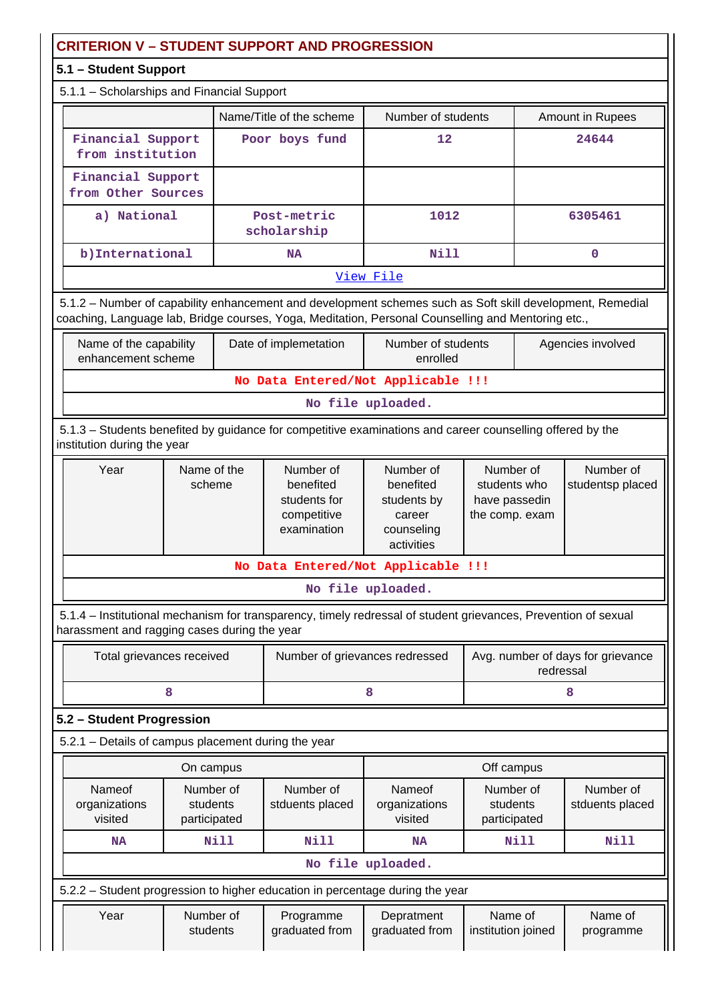| <b>CRITERION V - STUDENT SUPPORT AND PROGRESSION</b>                                                                                                                                                            |                                                                                                                                          |  |                                                                      |                                                                             |                                                              |           |                                   |  |  |
|-----------------------------------------------------------------------------------------------------------------------------------------------------------------------------------------------------------------|------------------------------------------------------------------------------------------------------------------------------------------|--|----------------------------------------------------------------------|-----------------------------------------------------------------------------|--------------------------------------------------------------|-----------|-----------------------------------|--|--|
| 5.1 - Student Support                                                                                                                                                                                           |                                                                                                                                          |  |                                                                      |                                                                             |                                                              |           |                                   |  |  |
| 5.1.1 - Scholarships and Financial Support                                                                                                                                                                      |                                                                                                                                          |  |                                                                      |                                                                             |                                                              |           |                                   |  |  |
|                                                                                                                                                                                                                 |                                                                                                                                          |  | Name/Title of the scheme                                             | Number of students                                                          |                                                              |           | Amount in Rupees                  |  |  |
| Financial Support<br>from institution                                                                                                                                                                           |                                                                                                                                          |  | Poor boys fund                                                       | 12                                                                          |                                                              |           | 24644                             |  |  |
| Financial Support<br>from Other Sources                                                                                                                                                                         |                                                                                                                                          |  |                                                                      |                                                                             |                                                              |           |                                   |  |  |
| a) National                                                                                                                                                                                                     |                                                                                                                                          |  | Post-metric<br>scholarship                                           | 1012                                                                        |                                                              |           | 6305461                           |  |  |
| b) International                                                                                                                                                                                                |                                                                                                                                          |  | <b>NA</b>                                                            | <b>Nill</b>                                                                 |                                                              |           | $\mathbf 0$                       |  |  |
|                                                                                                                                                                                                                 |                                                                                                                                          |  |                                                                      | View File                                                                   |                                                              |           |                                   |  |  |
| 5.1.2 - Number of capability enhancement and development schemes such as Soft skill development, Remedial<br>coaching, Language lab, Bridge courses, Yoga, Meditation, Personal Counselling and Mentoring etc., |                                                                                                                                          |  |                                                                      |                                                                             |                                                              |           |                                   |  |  |
| Name of the capability<br>enhancement scheme                                                                                                                                                                    |                                                                                                                                          |  | Date of implemetation                                                | Number of students<br>enrolled                                              |                                                              |           | Agencies involved                 |  |  |
|                                                                                                                                                                                                                 |                                                                                                                                          |  |                                                                      | No Data Entered/Not Applicable !!!                                          |                                                              |           |                                   |  |  |
|                                                                                                                                                                                                                 |                                                                                                                                          |  |                                                                      | No file uploaded.                                                           |                                                              |           |                                   |  |  |
|                                                                                                                                                                                                                 | 5.1.3 - Students benefited by guidance for competitive examinations and career counselling offered by the<br>institution during the year |  |                                                                      |                                                                             |                                                              |           |                                   |  |  |
| Year                                                                                                                                                                                                            | Name of the<br>scheme                                                                                                                    |  | Number of<br>benefited<br>students for<br>competitive<br>examination | Number of<br>benefited<br>students by<br>career<br>counseling<br>activities | Number of<br>students who<br>have passedin<br>the comp. exam |           | Number of<br>studentsp placed     |  |  |
|                                                                                                                                                                                                                 |                                                                                                                                          |  |                                                                      | No Data Entered/Not Applicable !!!                                          |                                                              |           |                                   |  |  |
|                                                                                                                                                                                                                 |                                                                                                                                          |  |                                                                      | No file uploaded.                                                           |                                                              |           |                                   |  |  |
| 5.1.4 - Institutional mechanism for transparency, timely redressal of student grievances, Prevention of sexual<br>harassment and ragging cases during the year                                                  |                                                                                                                                          |  |                                                                      |                                                                             |                                                              |           |                                   |  |  |
| Total grievances received                                                                                                                                                                                       |                                                                                                                                          |  | Number of grievances redressed                                       |                                                                             |                                                              | redressal | Avg. number of days for grievance |  |  |
| 8                                                                                                                                                                                                               |                                                                                                                                          |  |                                                                      | 8                                                                           |                                                              |           | 8                                 |  |  |
| 5.2 - Student Progression                                                                                                                                                                                       |                                                                                                                                          |  |                                                                      |                                                                             |                                                              |           |                                   |  |  |
| 5.2.1 - Details of campus placement during the year                                                                                                                                                             |                                                                                                                                          |  |                                                                      |                                                                             |                                                              |           |                                   |  |  |
|                                                                                                                                                                                                                 | On campus                                                                                                                                |  |                                                                      |                                                                             | Off campus                                                   |           |                                   |  |  |
| Nameof<br>organizations<br>visited                                                                                                                                                                              | Number of<br>students<br>participated                                                                                                    |  | Number of<br>stduents placed                                         | Nameof<br>organizations<br>visited                                          | Number of<br>students<br>participated                        |           | Number of<br>stduents placed      |  |  |
| NA                                                                                                                                                                                                              | Nill                                                                                                                                     |  | <b>Nill</b>                                                          | <b>NA</b>                                                                   | Nill                                                         |           | Nill                              |  |  |
|                                                                                                                                                                                                                 |                                                                                                                                          |  |                                                                      | No file uploaded.                                                           |                                                              |           |                                   |  |  |
| 5.2.2 - Student progression to higher education in percentage during the year                                                                                                                                   |                                                                                                                                          |  |                                                                      |                                                                             |                                                              |           |                                   |  |  |
| Year                                                                                                                                                                                                            | Number of<br>students                                                                                                                    |  | Programme<br>graduated from                                          | Depratment<br>graduated from                                                | Name of<br>institution joined                                |           | Name of<br>programme              |  |  |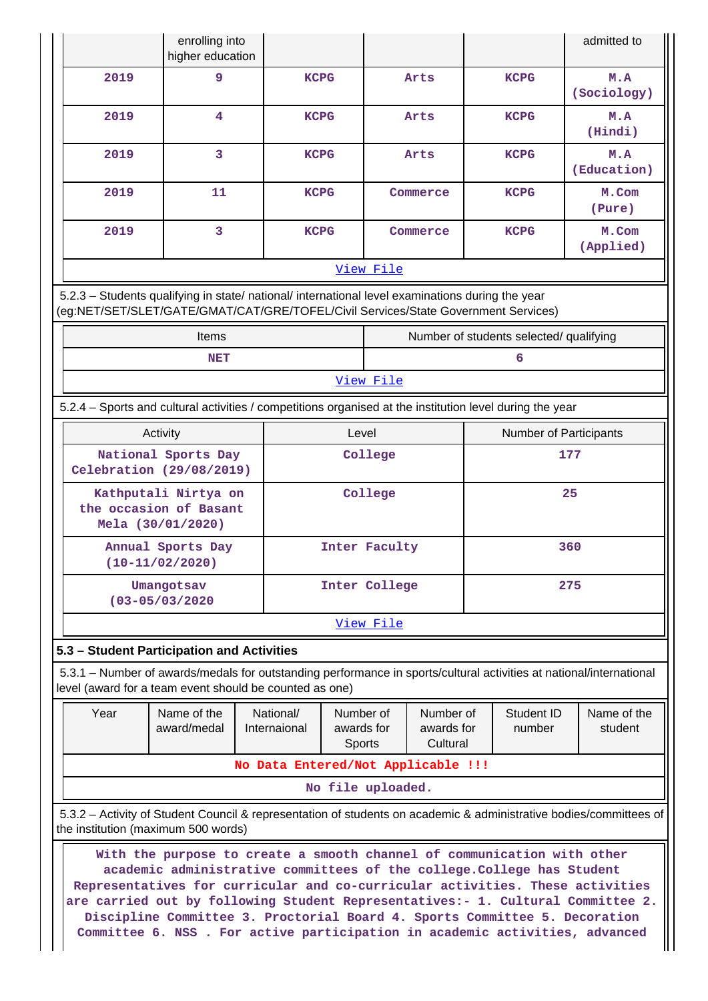|                                                                                                                                                                                                                                                                                                                                                                                                                                                                                                                            | enrolling into<br>higher education                                                   |                           |                                   |                   |                                     |     |                                         | admitted to                                                                                                         |  |
|----------------------------------------------------------------------------------------------------------------------------------------------------------------------------------------------------------------------------------------------------------------------------------------------------------------------------------------------------------------------------------------------------------------------------------------------------------------------------------------------------------------------------|--------------------------------------------------------------------------------------|---------------------------|-----------------------------------|-------------------|-------------------------------------|-----|-----------------------------------------|---------------------------------------------------------------------------------------------------------------------|--|
| 2019                                                                                                                                                                                                                                                                                                                                                                                                                                                                                                                       | 9                                                                                    |                           | <b>KCPG</b>                       | Arts              |                                     |     | <b>KCPG</b>                             | M.A<br>(Sociology)                                                                                                  |  |
| 2019                                                                                                                                                                                                                                                                                                                                                                                                                                                                                                                       | 4                                                                                    |                           | <b>KCPG</b>                       | Arts              |                                     |     | <b>KCPG</b>                             | M.A<br>(Hindi)                                                                                                      |  |
| 2019                                                                                                                                                                                                                                                                                                                                                                                                                                                                                                                       | $\overline{3}$                                                                       |                           | <b>KCPG</b>                       | Arts              |                                     |     | <b>KCPG</b>                             | M.A<br>(Education)                                                                                                  |  |
| 2019                                                                                                                                                                                                                                                                                                                                                                                                                                                                                                                       | 11                                                                                   |                           | <b>KCPG</b>                       | Commerce          |                                     |     | <b>KCPG</b>                             | M.Com<br>(Pure)                                                                                                     |  |
| 2019                                                                                                                                                                                                                                                                                                                                                                                                                                                                                                                       | $\overline{3}$                                                                       |                           | <b>KCPG</b>                       | Commerce          |                                     |     | <b>KCPG</b>                             | M.Com<br>(Applied)                                                                                                  |  |
|                                                                                                                                                                                                                                                                                                                                                                                                                                                                                                                            |                                                                                      |                           | View File                         |                   |                                     |     |                                         |                                                                                                                     |  |
| 5.2.3 - Students qualifying in state/ national/ international level examinations during the year<br>(eg:NET/SET/SLET/GATE/GMAT/CAT/GRE/TOFEL/Civil Services/State Government Services)                                                                                                                                                                                                                                                                                                                                     |                                                                                      |                           |                                   |                   |                                     |     |                                         |                                                                                                                     |  |
|                                                                                                                                                                                                                                                                                                                                                                                                                                                                                                                            | Items                                                                                |                           |                                   |                   |                                     |     | Number of students selected/ qualifying |                                                                                                                     |  |
|                                                                                                                                                                                                                                                                                                                                                                                                                                                                                                                            | <b>NET</b>                                                                           |                           |                                   |                   |                                     |     | 6                                       |                                                                                                                     |  |
|                                                                                                                                                                                                                                                                                                                                                                                                                                                                                                                            |                                                                                      |                           | View File                         |                   |                                     |     |                                         |                                                                                                                     |  |
| 5.2.4 – Sports and cultural activities / competitions organised at the institution level during the year                                                                                                                                                                                                                                                                                                                                                                                                                   |                                                                                      |                           |                                   |                   |                                     |     |                                         |                                                                                                                     |  |
|                                                                                                                                                                                                                                                                                                                                                                                                                                                                                                                            | Activity                                                                             |                           |                                   | Level             |                                     |     | Number of Participants                  |                                                                                                                     |  |
|                                                                                                                                                                                                                                                                                                                                                                                                                                                                                                                            | National Sports Day<br>Celebration (29/08/2019)                                      |                           | College                           |                   |                                     | 177 |                                         |                                                                                                                     |  |
|                                                                                                                                                                                                                                                                                                                                                                                                                                                                                                                            | Kathputali Nirtya on<br>College<br>25<br>the occasion of Basant<br>Mela (30/01/2020) |                           |                                   |                   |                                     |     |                                         |                                                                                                                     |  |
|                                                                                                                                                                                                                                                                                                                                                                                                                                                                                                                            | Annual Sports Day<br>$(10-11/02/2020)$                                               |                           | Inter Faculty                     |                   |                                     |     |                                         | 360                                                                                                                 |  |
|                                                                                                                                                                                                                                                                                                                                                                                                                                                                                                                            | Umangotsav<br>$(03 - 05/03/2020$                                                     |                           | Inter College<br>275              |                   |                                     |     |                                         |                                                                                                                     |  |
|                                                                                                                                                                                                                                                                                                                                                                                                                                                                                                                            |                                                                                      |                           | View File                         |                   |                                     |     |                                         |                                                                                                                     |  |
| 5.3 - Student Participation and Activities                                                                                                                                                                                                                                                                                                                                                                                                                                                                                 |                                                                                      |                           |                                   |                   |                                     |     |                                         |                                                                                                                     |  |
| level (award for a team event should be counted as one)                                                                                                                                                                                                                                                                                                                                                                                                                                                                    |                                                                                      |                           |                                   |                   |                                     |     |                                         | 5.3.1 – Number of awards/medals for outstanding performance in sports/cultural activities at national/international |  |
| Year                                                                                                                                                                                                                                                                                                                                                                                                                                                                                                                       | Name of the<br>award/medal                                                           | National/<br>Internaional | Number of<br>awards for<br>Sports |                   | Number of<br>awards for<br>Cultural |     | Student ID<br>number                    | Name of the<br>student                                                                                              |  |
|                                                                                                                                                                                                                                                                                                                                                                                                                                                                                                                            | No Data Entered/Not Applicable !!!                                                   |                           |                                   |                   |                                     |     |                                         |                                                                                                                     |  |
|                                                                                                                                                                                                                                                                                                                                                                                                                                                                                                                            |                                                                                      |                           |                                   | No file uploaded. |                                     |     |                                         |                                                                                                                     |  |
|                                                                                                                                                                                                                                                                                                                                                                                                                                                                                                                            |                                                                                      |                           |                                   |                   |                                     |     |                                         | 5.3.2 – Activity of Student Council & representation of students on academic & administrative bodies/committees of  |  |
| the institution (maximum 500 words)<br>With the purpose to create a smooth channel of communication with other<br>academic administrative committees of the college. College has Student<br>Representatives for curricular and co-curricular activities. These activities<br>are carried out by following Student Representatives:- 1. Cultural Committee 2.<br>Discipline Committee 3. Proctorial Board 4. Sports Committee 5. Decoration<br>Committee 6. NSS . For active participation in academic activities, advanced |                                                                                      |                           |                                   |                   |                                     |     |                                         |                                                                                                                     |  |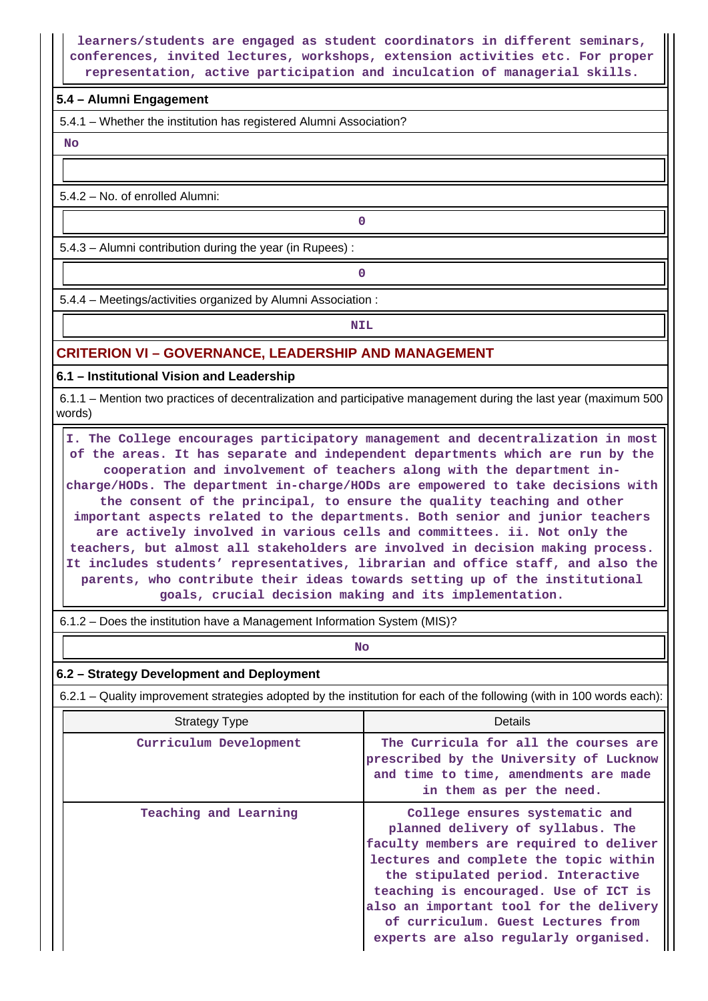#### **learners/students are engaged as student coordinators in different seminars, conferences, invited lectures, workshops, extension activities etc. For proper representation, active participation and inculcation of managerial skills.**

#### **5.4 – Alumni Engagement**

5.4.1 – Whether the institution has registered Alumni Association?

 **No**

5.4.2 – No. of enrolled Alumni:

5.4.3 – Alumni contribution during the year (in Rupees) :

**0**

**0**

5.4.4 – Meetings/activities organized by Alumni Association :

**NIL** 

#### **CRITERION VI – GOVERNANCE, LEADERSHIP AND MANAGEMENT**

**6.1 – Institutional Vision and Leadership**

 6.1.1 – Mention two practices of decentralization and participative management during the last year (maximum 500 words)

 **I. The College encourages participatory management and decentralization in most of the areas. It has separate and independent departments which are run by the cooperation and involvement of teachers along with the department incharge/HODs. The department in-charge/HODs are empowered to take decisions with the consent of the principal, to ensure the quality teaching and other important aspects related to the departments. Both senior and junior teachers are actively involved in various cells and committees. ii. Not only the teachers, but almost all stakeholders are involved in decision making process. It includes students' representatives, librarian and office staff, and also the parents, who contribute their ideas towards setting up of the institutional goals, crucial decision making and its implementation.**

6.1.2 – Does the institution have a Management Information System (MIS)?

**No. 2. In the case of the case of the case of the case of the case of the case of the case of the case of the case of the case of the case of the case of the case of the case of the case of the case of the case of the cas** 

#### **6.2 – Strategy Development and Deployment**

6.2.1 – Quality improvement strategies adopted by the institution for each of the following (with in 100 words each):

| <b>Strategy Type</b>   | Details                                                                                                                                                                                                                                                                                                                                                           |
|------------------------|-------------------------------------------------------------------------------------------------------------------------------------------------------------------------------------------------------------------------------------------------------------------------------------------------------------------------------------------------------------------|
| Curriculum Development | The Curricula for all the courses are<br>prescribed by the University of Lucknow<br>and time to time, amendments are made<br>in them as per the need.                                                                                                                                                                                                             |
| Teaching and Learning  | College ensures systematic and<br>planned delivery of syllabus. The<br>faculty members are required to deliver<br>lectures and complete the topic within<br>the stipulated period. Interactive<br>teaching is encouraged. Use of ICT is<br>also an important tool for the delivery<br>of curriculum. Guest Lectures from<br>experts are also regularly organised. |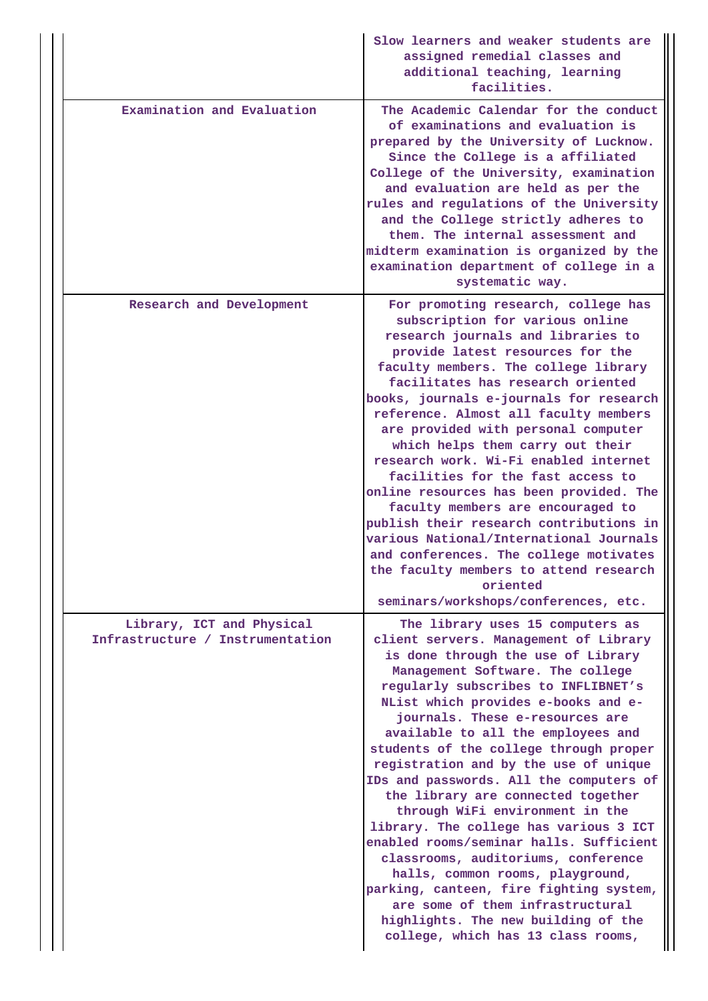|                                                               | Slow learners and weaker students are<br>assigned remedial classes and<br>additional teaching, learning<br>facilities.                                                                                                                                                                                                                                                                                                                                                                                                                                                                                                                                                                                                                                                                                                                        |
|---------------------------------------------------------------|-----------------------------------------------------------------------------------------------------------------------------------------------------------------------------------------------------------------------------------------------------------------------------------------------------------------------------------------------------------------------------------------------------------------------------------------------------------------------------------------------------------------------------------------------------------------------------------------------------------------------------------------------------------------------------------------------------------------------------------------------------------------------------------------------------------------------------------------------|
| Examination and Evaluation                                    | The Academic Calendar for the conduct<br>of examinations and evaluation is<br>prepared by the University of Lucknow.<br>Since the College is a affiliated<br>College of the University, examination<br>and evaluation are held as per the<br>rules and regulations of the University<br>and the College strictly adheres to<br>them. The internal assessment and<br>midterm examination is organized by the<br>examination department of college in a<br>systematic way.                                                                                                                                                                                                                                                                                                                                                                      |
| Research and Development                                      | For promoting research, college has<br>subscription for various online<br>research journals and libraries to<br>provide latest resources for the<br>faculty members. The college library<br>facilitates has research oriented<br>books, journals e-journals for research<br>reference. Almost all faculty members<br>are provided with personal computer<br>which helps them carry out their<br>research work. Wi-Fi enabled internet<br>facilities for the fast access to<br>online resources has been provided. The<br>faculty members are encouraged to<br>publish their research contributions in<br>various National/International Journals<br>and conferences. The college motivates<br>the faculty members to attend research<br>oriented<br>seminars/workshops/conferences, etc.                                                      |
| Library, ICT and Physical<br>Infrastructure / Instrumentation | The library uses 15 computers as<br>client servers. Management of Library<br>is done through the use of Library<br>Management Software. The college<br>regularly subscribes to INFLIBNET's<br>NList which provides e-books and e-<br>journals. These e-resources are<br>available to all the employees and<br>students of the college through proper<br>registration and by the use of unique<br>IDs and passwords. All the computers of<br>the library are connected together<br>through WiFi environment in the<br>library. The college has various 3 ICT<br>enabled rooms/seminar halls. Sufficient<br>classrooms, auditoriums, conference<br>halls, common rooms, playground,<br>parking, canteen, fire fighting system,<br>are some of them infrastructural<br>highlights. The new building of the<br>college, which has 13 class rooms, |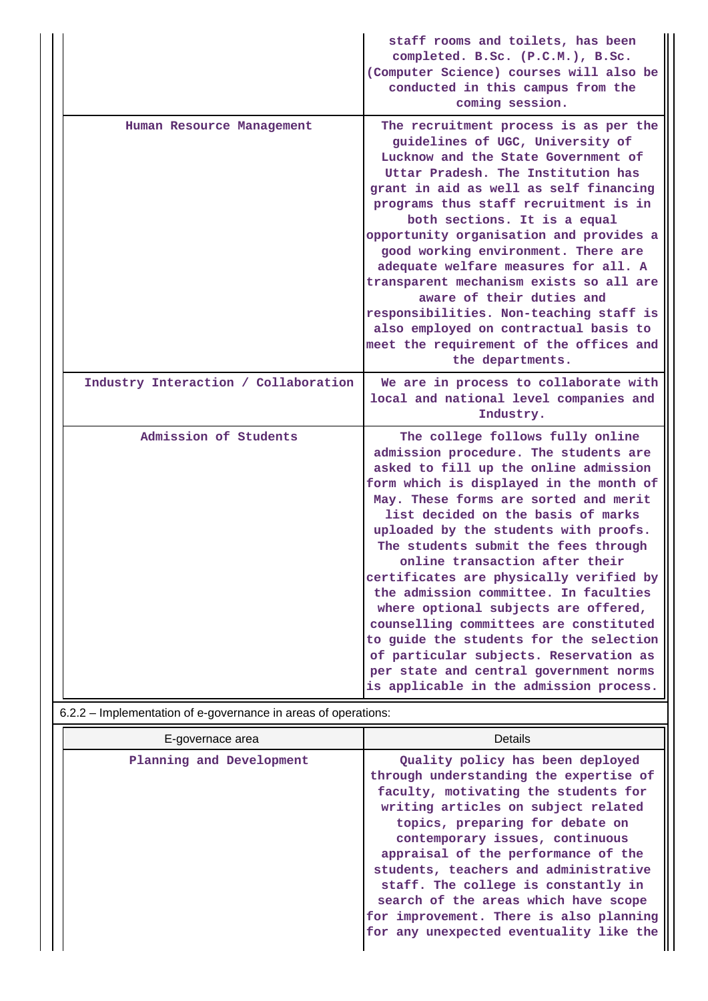|                                      | staff rooms and toilets, has been<br>completed. B.Sc. (P.C.M.), B.Sc.<br>(Computer Science) courses will also be<br>conducted in this campus from the<br>coming session.                                                                                                                                                                                                                                                                                                                                                                                                                                                                                                                                        |
|--------------------------------------|-----------------------------------------------------------------------------------------------------------------------------------------------------------------------------------------------------------------------------------------------------------------------------------------------------------------------------------------------------------------------------------------------------------------------------------------------------------------------------------------------------------------------------------------------------------------------------------------------------------------------------------------------------------------------------------------------------------------|
| Human Resource Management            | The recruitment process is as per the<br>guidelines of UGC, University of<br>Lucknow and the State Government of<br>Uttar Pradesh. The Institution has<br>grant in aid as well as self financing<br>programs thus staff recruitment is in<br>both sections. It is a equal<br>opportunity organisation and provides a<br>good working environment. There are<br>adequate welfare measures for all. A<br>transparent mechanism exists so all are<br>aware of their duties and<br>responsibilities. Non-teaching staff is<br>also employed on contractual basis to<br>meet the requirement of the offices and<br>the departments.                                                                                  |
| Industry Interaction / Collaboration | We are in process to collaborate with<br>local and national level companies and<br>Industry.                                                                                                                                                                                                                                                                                                                                                                                                                                                                                                                                                                                                                    |
| Admission of Students                | The college follows fully online<br>admission procedure. The students are<br>asked to fill up the online admission<br>form which is displayed in the month of<br>May. These forms are sorted and merit<br>list decided on the basis of marks<br>uploaded by the students with proofs.<br>The students submit the fees through<br>online transaction after their<br>certificates are physically verified by<br>the admission committee. In faculties<br>where optional subjects are offered,<br>counselling committees are constituted<br>to guide the students for the selection<br>of particular subjects. Reservation as<br>per state and central government norms<br>is applicable in the admission process. |

## 6.2.2 – Implementation of e-governance in areas of operations:

| E-governace area         | Details                                                                                                                                                                                                                                                                                                                                                                                                                                                                              |
|--------------------------|--------------------------------------------------------------------------------------------------------------------------------------------------------------------------------------------------------------------------------------------------------------------------------------------------------------------------------------------------------------------------------------------------------------------------------------------------------------------------------------|
| Planning and Development | Quality policy has been deployed<br>through understanding the expertise of<br>faculty, motivating the students for<br>writing articles on subject related<br>topics, preparing for debate on<br>contemporary issues, continuous<br>appraisal of the performance of the<br>students, teachers and administrative<br>staff. The college is constantly in<br>search of the areas which have scope<br>for improvement. There is also planning<br>for any unexpected eventuality like the |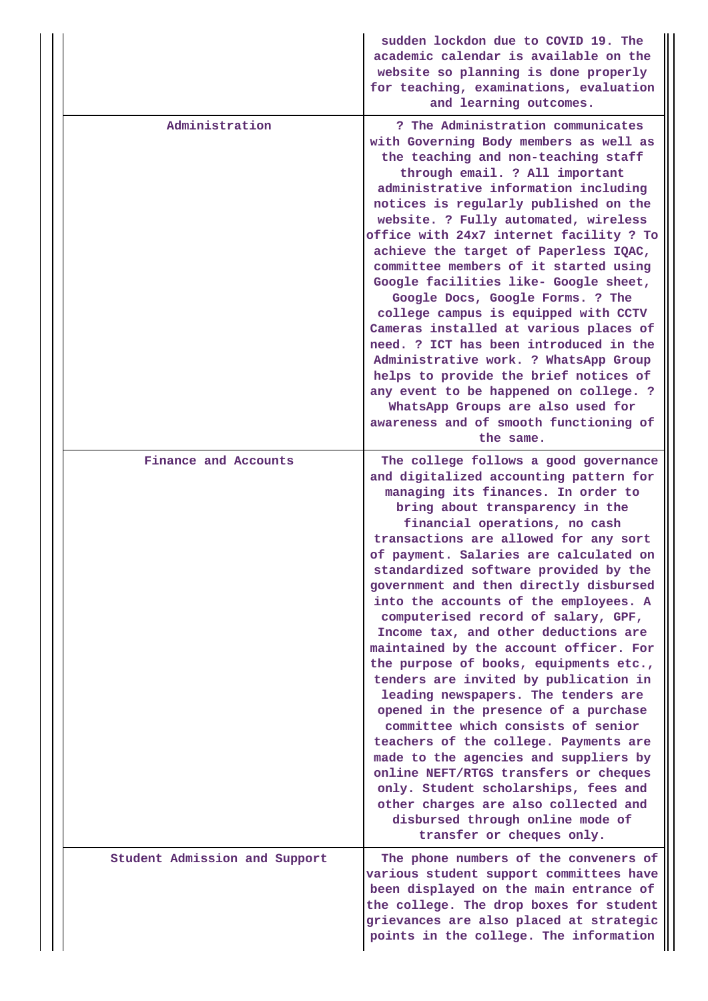|                               | sudden lockdon due to COVID 19. The<br>academic calendar is available on the<br>website so planning is done properly<br>for teaching, examinations, evaluation<br>and learning outcomes.                                                                                                                                                                                                                                                                                                                                                                                                                                                                                                                                                                                                                                                                                                                                                                                                                              |  |  |  |  |
|-------------------------------|-----------------------------------------------------------------------------------------------------------------------------------------------------------------------------------------------------------------------------------------------------------------------------------------------------------------------------------------------------------------------------------------------------------------------------------------------------------------------------------------------------------------------------------------------------------------------------------------------------------------------------------------------------------------------------------------------------------------------------------------------------------------------------------------------------------------------------------------------------------------------------------------------------------------------------------------------------------------------------------------------------------------------|--|--|--|--|
| Administration                | ? The Administration communicates<br>with Governing Body members as well as<br>the teaching and non-teaching staff<br>through email. ? All important<br>administrative information including<br>notices is regularly published on the<br>website. ? Fully automated, wireless<br>office with 24x7 internet facility ? To<br>achieve the target of Paperless IQAC,<br>committee members of it started using<br>Google facilities like- Google sheet,<br>Google Docs, Google Forms. ? The<br>college campus is equipped with CCTV<br>Cameras installed at various places of<br>need. ? ICT has been introduced in the<br>Administrative work. ? WhatsApp Group<br>helps to provide the brief notices of<br>any event to be happened on college. ?<br>WhatsApp Groups are also used for<br>awareness and of smooth functioning of<br>the same.                                                                                                                                                                           |  |  |  |  |
| Finance and Accounts          | The college follows a good governance<br>and digitalized accounting pattern for<br>managing its finances. In order to<br>bring about transparency in the<br>financial operations, no cash<br>transactions are allowed for any sort<br>of payment. Salaries are calculated on<br>standardized software provided by the<br>government and then directly disbursed<br>into the accounts of the employees. A<br>computerised record of salary, GPF,<br>Income tax, and other deductions are<br>maintained by the account officer. For<br>the purpose of books, equipments etc.,<br>tenders are invited by publication in<br>leading newspapers. The tenders are<br>opened in the presence of a purchase<br>committee which consists of senior<br>teachers of the college. Payments are<br>made to the agencies and suppliers by<br>online NEFT/RTGS transfers or cheques<br>only. Student scholarships, fees and<br>other charges are also collected and<br>disbursed through online mode of<br>transfer or cheques only. |  |  |  |  |
| Student Admission and Support | The phone numbers of the conveners of<br>various student support committees have<br>been displayed on the main entrance of<br>the college. The drop boxes for student<br>grievances are also placed at strategic<br>points in the college. The information                                                                                                                                                                                                                                                                                                                                                                                                                                                                                                                                                                                                                                                                                                                                                            |  |  |  |  |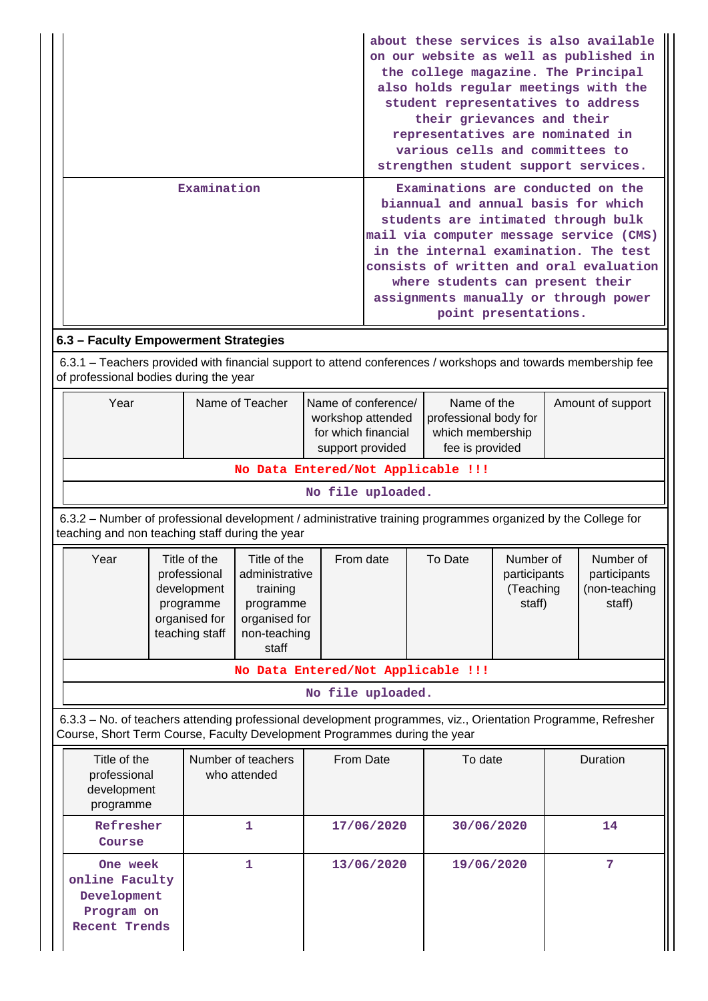|                                                                                                                                                                                                          | Examination                                                                                                                                                                                | about these services is also available<br>on our website as well as published in<br>the college magazine. The Principal<br>also holds regular meetings with the<br>student representatives to address<br>their grievances and their<br>representatives are nominated in<br>various cells and committees to<br>strengthen student support services.<br>Examinations are conducted on the<br>biannual and annual basis for which<br>students are intimated through bulk<br>mail via computer message service (CMS)<br>in the internal examination. The test<br>consists of written and oral evaluation |                                                                                                                                                                    |                                                             |          |                                                      |                                       |
|----------------------------------------------------------------------------------------------------------------------------------------------------------------------------------------------------------|--------------------------------------------------------------------------------------------------------------------------------------------------------------------------------------------|------------------------------------------------------------------------------------------------------------------------------------------------------------------------------------------------------------------------------------------------------------------------------------------------------------------------------------------------------------------------------------------------------------------------------------------------------------------------------------------------------------------------------------------------------------------------------------------------------|--------------------------------------------------------------------------------------------------------------------------------------------------------------------|-------------------------------------------------------------|----------|------------------------------------------------------|---------------------------------------|
|                                                                                                                                                                                                          |                                                                                                                                                                                            |                                                                                                                                                                                                                                                                                                                                                                                                                                                                                                                                                                                                      |                                                                                                                                                                    | where students can present their<br>point presentations.    |          |                                                      | assignments manually or through power |
|                                                                                                                                                                                                          |                                                                                                                                                                                            |                                                                                                                                                                                                                                                                                                                                                                                                                                                                                                                                                                                                      |                                                                                                                                                                    |                                                             |          |                                                      |                                       |
| 6.3 - Faculty Empowerment Strategies<br>of professional bodies during the year                                                                                                                           | 6.3.1 – Teachers provided with financial support to attend conferences / workshops and towards membership fee                                                                              |                                                                                                                                                                                                                                                                                                                                                                                                                                                                                                                                                                                                      |                                                                                                                                                                    |                                                             |          |                                                      |                                       |
| Name of Teacher<br>Year                                                                                                                                                                                  |                                                                                                                                                                                            |                                                                                                                                                                                                                                                                                                                                                                                                                                                                                                                                                                                                      | Name of conference/<br>Name of the<br>professional body for<br>workshop attended<br>for which financial<br>which membership<br>fee is provided<br>support provided |                                                             |          | Amount of support                                    |                                       |
|                                                                                                                                                                                                          |                                                                                                                                                                                            | No Data Entered/Not Applicable !!!                                                                                                                                                                                                                                                                                                                                                                                                                                                                                                                                                                   |                                                                                                                                                                    |                                                             |          |                                                      |                                       |
|                                                                                                                                                                                                          | No file uploaded.                                                                                                                                                                          |                                                                                                                                                                                                                                                                                                                                                                                                                                                                                                                                                                                                      |                                                                                                                                                                    |                                                             |          |                                                      |                                       |
|                                                                                                                                                                                                          | 6.3.2 – Number of professional development / administrative training programmes organized by the College for<br>teaching and non teaching staff during the year                            |                                                                                                                                                                                                                                                                                                                                                                                                                                                                                                                                                                                                      |                                                                                                                                                                    |                                                             |          |                                                      |                                       |
| Year<br>Title of the<br>Title of the<br>professional<br>administrative<br>development<br>training<br>programme<br>programme<br>organised for<br>organised for<br>teaching staff<br>non-teaching<br>staff |                                                                                                                                                                                            |                                                                                                                                                                                                                                                                                                                                                                                                                                                                                                                                                                                                      | From date                                                                                                                                                          | To Date<br>Number of<br>participants<br>(Teaching<br>staff) |          | Number of<br>participants<br>(non-teaching<br>staff) |                                       |
|                                                                                                                                                                                                          | No Data Entered/Not Applicable !!!                                                                                                                                                         |                                                                                                                                                                                                                                                                                                                                                                                                                                                                                                                                                                                                      |                                                                                                                                                                    |                                                             |          |                                                      |                                       |
|                                                                                                                                                                                                          |                                                                                                                                                                                            |                                                                                                                                                                                                                                                                                                                                                                                                                                                                                                                                                                                                      | No file uploaded.                                                                                                                                                  |                                                             |          |                                                      |                                       |
|                                                                                                                                                                                                          | 6.3.3 - No. of teachers attending professional development programmes, viz., Orientation Programme, Refresher<br>Course, Short Term Course, Faculty Development Programmes during the year |                                                                                                                                                                                                                                                                                                                                                                                                                                                                                                                                                                                                      |                                                                                                                                                                    |                                                             |          |                                                      |                                       |
| Title of the<br>professional<br>development<br>programme                                                                                                                                                 | Number of teachers<br>who attended                                                                                                                                                         | From Date                                                                                                                                                                                                                                                                                                                                                                                                                                                                                                                                                                                            | To date                                                                                                                                                            |                                                             | Duration |                                                      |                                       |
| Refresher<br>Course                                                                                                                                                                                      | 1                                                                                                                                                                                          |                                                                                                                                                                                                                                                                                                                                                                                                                                                                                                                                                                                                      | 17/06/2020                                                                                                                                                         | 30/06/2020                                                  |          |                                                      | 14                                    |
| One week<br>online Faculty<br>Development<br>Program on                                                                                                                                                  | 1                                                                                                                                                                                          |                                                                                                                                                                                                                                                                                                                                                                                                                                                                                                                                                                                                      | 13/06/2020<br>19/06/2020                                                                                                                                           |                                                             | 7        |                                                      |                                       |

**Recent Trends**

 $\vert$ 

I

I

 $\perp$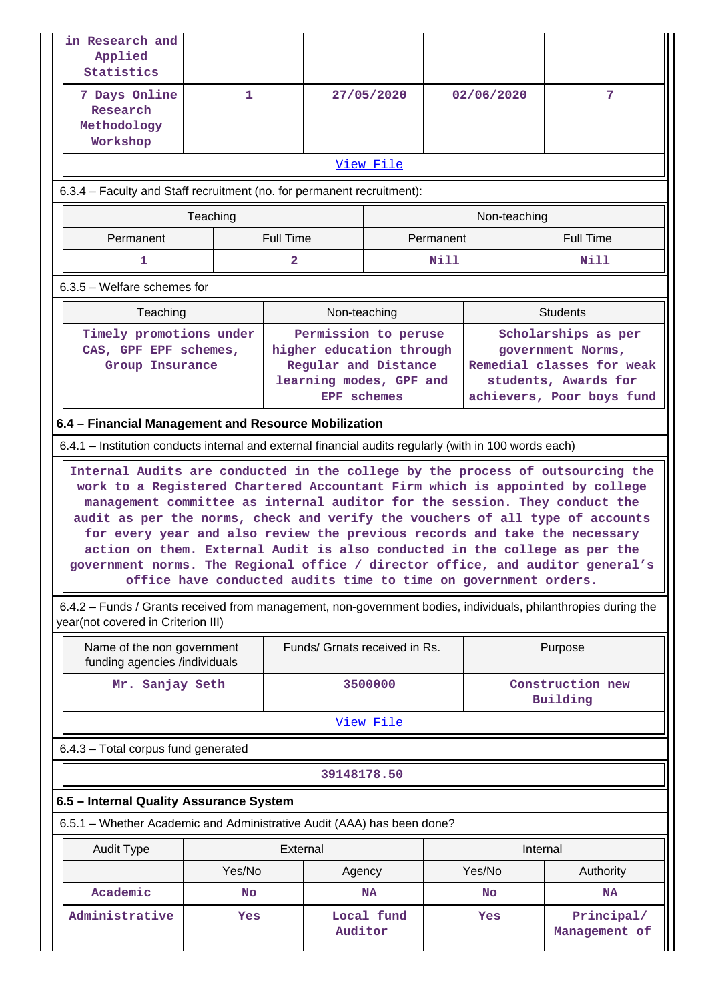| in Research and<br>Applied<br>Statistics                                                                                                             |                                                                                                                                                                                                                                                                                                                                                                                                                                                                                                                                                                                                                                                |                  |                                                                                                                           |                               |                              |                                                                                                                            |                             |  |  |
|------------------------------------------------------------------------------------------------------------------------------------------------------|------------------------------------------------------------------------------------------------------------------------------------------------------------------------------------------------------------------------------------------------------------------------------------------------------------------------------------------------------------------------------------------------------------------------------------------------------------------------------------------------------------------------------------------------------------------------------------------------------------------------------------------------|------------------|---------------------------------------------------------------------------------------------------------------------------|-------------------------------|------------------------------|----------------------------------------------------------------------------------------------------------------------------|-----------------------------|--|--|
| 7 Days Online<br>Research<br>Methodology<br>Workshop                                                                                                 | $\mathbf{1}$                                                                                                                                                                                                                                                                                                                                                                                                                                                                                                                                                                                                                                   |                  | 27/05/2020                                                                                                                |                               | 02/06/2020                   |                                                                                                                            | 7                           |  |  |
| <u>View File</u>                                                                                                                                     |                                                                                                                                                                                                                                                                                                                                                                                                                                                                                                                                                                                                                                                |                  |                                                                                                                           |                               |                              |                                                                                                                            |                             |  |  |
| 6.3.4 – Faculty and Staff recruitment (no. for permanent recruitment):                                                                               |                                                                                                                                                                                                                                                                                                                                                                                                                                                                                                                                                                                                                                                |                  |                                                                                                                           |                               |                              |                                                                                                                            |                             |  |  |
|                                                                                                                                                      | Teaching                                                                                                                                                                                                                                                                                                                                                                                                                                                                                                                                                                                                                                       |                  |                                                                                                                           |                               |                              | Non-teaching                                                                                                               |                             |  |  |
| Permanent                                                                                                                                            |                                                                                                                                                                                                                                                                                                                                                                                                                                                                                                                                                                                                                                                | <b>Full Time</b> |                                                                                                                           | Permanent                     |                              |                                                                                                                            | <b>Full Time</b>            |  |  |
| 1                                                                                                                                                    |                                                                                                                                                                                                                                                                                                                                                                                                                                                                                                                                                                                                                                                | $\overline{2}$   |                                                                                                                           |                               | Nill                         | Nill                                                                                                                       |                             |  |  |
| $6.3.5$ – Welfare schemes for                                                                                                                        |                                                                                                                                                                                                                                                                                                                                                                                                                                                                                                                                                                                                                                                |                  |                                                                                                                           |                               |                              |                                                                                                                            |                             |  |  |
| Teaching                                                                                                                                             |                                                                                                                                                                                                                                                                                                                                                                                                                                                                                                                                                                                                                                                |                  | Non-teaching                                                                                                              |                               |                              |                                                                                                                            | <b>Students</b>             |  |  |
| Timely promotions under<br>CAS, GPF EPF schemes,<br>Group Insurance                                                                                  |                                                                                                                                                                                                                                                                                                                                                                                                                                                                                                                                                                                                                                                |                  | Permission to peruse<br>higher education through<br>Regular and Distance<br>learning modes, GPF and<br><b>EPF</b> schemes |                               |                              | Scholarships as per<br>government Norms,<br>Remedial classes for weak<br>students, Awards for<br>achievers, Poor boys fund |                             |  |  |
| 6.4 - Financial Management and Resource Mobilization                                                                                                 |                                                                                                                                                                                                                                                                                                                                                                                                                                                                                                                                                                                                                                                |                  |                                                                                                                           |                               |                              |                                                                                                                            |                             |  |  |
| 6.4.1 – Institution conducts internal and external financial audits regularly (with in 100 words each)                                               |                                                                                                                                                                                                                                                                                                                                                                                                                                                                                                                                                                                                                                                |                  |                                                                                                                           |                               |                              |                                                                                                                            |                             |  |  |
|                                                                                                                                                      | Internal Audits are conducted in the college by the process of outsourcing the<br>work to a Registered Chartered Accountant Firm which is appointed by college<br>management committee as internal auditor for the session. They conduct the<br>audit as per the norms, check and verify the vouchers of all type of accounts<br>for every year and also review the previous records and take the necessary<br>action on them. External Audit is also conducted in the college as per the<br>government norms. The Regional office / director office, and auditor general's<br>office have conducted audits time to time on government orders. |                  |                                                                                                                           |                               |                              |                                                                                                                            |                             |  |  |
| 6.4.2 – Funds / Grants received from management, non-government bodies, individuals, philanthropies during the<br>year(not covered in Criterion III) |                                                                                                                                                                                                                                                                                                                                                                                                                                                                                                                                                                                                                                                |                  |                                                                                                                           |                               |                              |                                                                                                                            |                             |  |  |
| Name of the non government<br>funding agencies /individuals                                                                                          |                                                                                                                                                                                                                                                                                                                                                                                                                                                                                                                                                                                                                                                |                  |                                                                                                                           | Funds/ Grnats received in Rs. |                              |                                                                                                                            | Purpose                     |  |  |
| Mr. Sanjay Seth                                                                                                                                      |                                                                                                                                                                                                                                                                                                                                                                                                                                                                                                                                                                                                                                                |                  | 3500000                                                                                                                   |                               | Construction new<br>Building |                                                                                                                            |                             |  |  |
|                                                                                                                                                      |                                                                                                                                                                                                                                                                                                                                                                                                                                                                                                                                                                                                                                                |                  |                                                                                                                           | View File                     |                              |                                                                                                                            |                             |  |  |
| 6.4.3 - Total corpus fund generated                                                                                                                  |                                                                                                                                                                                                                                                                                                                                                                                                                                                                                                                                                                                                                                                |                  |                                                                                                                           |                               |                              |                                                                                                                            |                             |  |  |
|                                                                                                                                                      |                                                                                                                                                                                                                                                                                                                                                                                                                                                                                                                                                                                                                                                |                  | 39148178.50                                                                                                               |                               |                              |                                                                                                                            |                             |  |  |
| 6.5 - Internal Quality Assurance System                                                                                                              |                                                                                                                                                                                                                                                                                                                                                                                                                                                                                                                                                                                                                                                |                  |                                                                                                                           |                               |                              |                                                                                                                            |                             |  |  |
| 6.5.1 - Whether Academic and Administrative Audit (AAA) has been done?                                                                               |                                                                                                                                                                                                                                                                                                                                                                                                                                                                                                                                                                                                                                                |                  |                                                                                                                           |                               |                              |                                                                                                                            |                             |  |  |
| <b>Audit Type</b>                                                                                                                                    |                                                                                                                                                                                                                                                                                                                                                                                                                                                                                                                                                                                                                                                |                  | External                                                                                                                  |                               |                              |                                                                                                                            | Internal                    |  |  |
|                                                                                                                                                      | Yes/No                                                                                                                                                                                                                                                                                                                                                                                                                                                                                                                                                                                                                                         |                  | Agency                                                                                                                    |                               |                              | Yes/No                                                                                                                     | Authority                   |  |  |
| Academic                                                                                                                                             | <b>No</b>                                                                                                                                                                                                                                                                                                                                                                                                                                                                                                                                                                                                                                      |                  |                                                                                                                           | <b>NA</b>                     |                              | No                                                                                                                         | <b>NA</b>                   |  |  |
| Administrative                                                                                                                                       | Yes                                                                                                                                                                                                                                                                                                                                                                                                                                                                                                                                                                                                                                            |                  | Auditor                                                                                                                   | Local fund                    |                              | Yes                                                                                                                        | Principal/<br>Management of |  |  |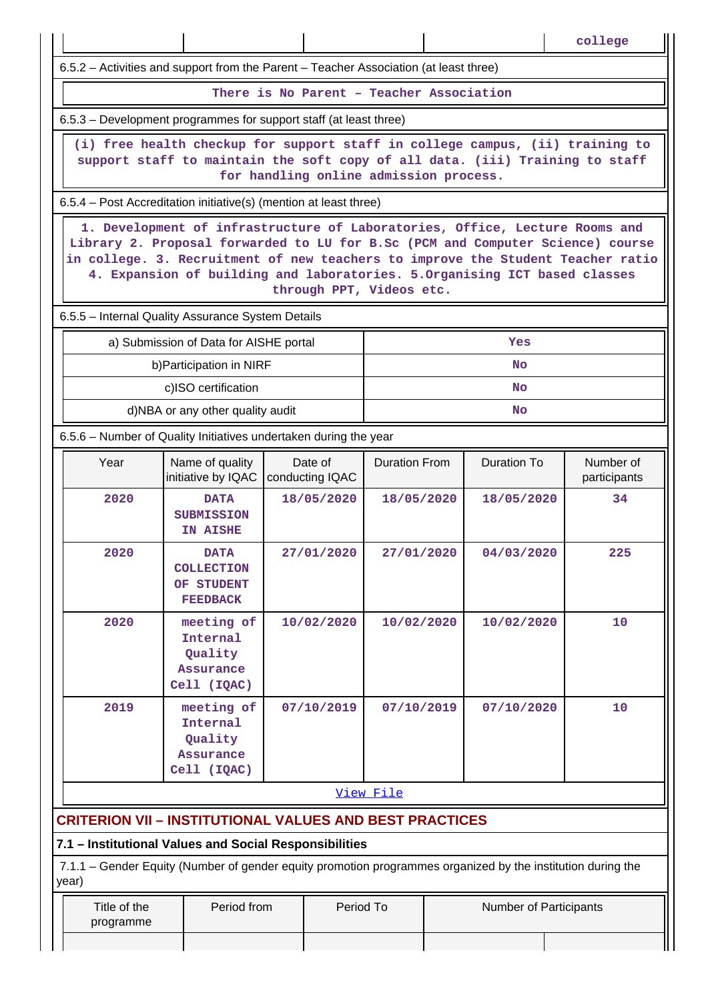|                                                                                                                                                                                                                                                                                                                                                            |                                                                                                             |                               |                      |  |                        | college                   |  |  |  |
|------------------------------------------------------------------------------------------------------------------------------------------------------------------------------------------------------------------------------------------------------------------------------------------------------------------------------------------------------------|-------------------------------------------------------------------------------------------------------------|-------------------------------|----------------------|--|------------------------|---------------------------|--|--|--|
| 6.5.2 - Activities and support from the Parent - Teacher Association (at least three)                                                                                                                                                                                                                                                                      |                                                                                                             |                               |                      |  |                        |                           |  |  |  |
| There is No Parent - Teacher Association                                                                                                                                                                                                                                                                                                                   |                                                                                                             |                               |                      |  |                        |                           |  |  |  |
| 6.5.3 – Development programmes for support staff (at least three)                                                                                                                                                                                                                                                                                          |                                                                                                             |                               |                      |  |                        |                           |  |  |  |
| (i) free health checkup for support staff in college campus, (ii) training to<br>support staff to maintain the soft copy of all data. (iii) Training to staff<br>for handling online admission process.                                                                                                                                                    |                                                                                                             |                               |                      |  |                        |                           |  |  |  |
| 6.5.4 – Post Accreditation initiative(s) (mention at least three)                                                                                                                                                                                                                                                                                          |                                                                                                             |                               |                      |  |                        |                           |  |  |  |
| 1. Development of infrastructure of Laboratories, Office, Lecture Rooms and<br>Library 2. Proposal forwarded to LU for B.Sc (PCM and Computer Science) course<br>in college. 3. Recruitment of new teachers to improve the Student Teacher ratio<br>4. Expansion of building and laboratories. 5. Organising ICT based classes<br>through PPT, Videos etc. |                                                                                                             |                               |                      |  |                        |                           |  |  |  |
|                                                                                                                                                                                                                                                                                                                                                            | 6.5.5 - Internal Quality Assurance System Details                                                           |                               |                      |  |                        |                           |  |  |  |
|                                                                                                                                                                                                                                                                                                                                                            | a) Submission of Data for AISHE portal                                                                      |                               |                      |  | Yes                    |                           |  |  |  |
|                                                                                                                                                                                                                                                                                                                                                            | b) Participation in NIRF                                                                                    |                               |                      |  | <b>No</b>              |                           |  |  |  |
|                                                                                                                                                                                                                                                                                                                                                            | c)ISO certification<br>d)NBA or any other quality audit                                                     |                               |                      |  | <b>No</b>              |                           |  |  |  |
|                                                                                                                                                                                                                                                                                                                                                            |                                                                                                             |                               |                      |  | <b>No</b>              |                           |  |  |  |
| Year                                                                                                                                                                                                                                                                                                                                                       | 6.5.6 – Number of Quality Initiatives undertaken during the year<br>Name of quality<br>initiative by IQAC   |                               | <b>Duration From</b> |  | <b>Duration To</b>     | Number of<br>participants |  |  |  |
| 2020                                                                                                                                                                                                                                                                                                                                                       | <b>DATA</b><br><b>SUBMISSION</b><br>IN AISHE                                                                | conducting IQAC<br>18/05/2020 | 18/05/2020           |  | 18/05/2020             | 34                        |  |  |  |
| 2020                                                                                                                                                                                                                                                                                                                                                       | <b>DATA</b><br><b>COLLECTION</b><br>OF STUDENT<br><b>FEEDBACK</b>                                           | 27/01/2020                    | 27/01/2020           |  | 04/03/2020             | 225                       |  |  |  |
| 2020                                                                                                                                                                                                                                                                                                                                                       | meeting of<br>10/02/2020<br>Internal<br>Quality<br>Assurance<br>Cell (IQAC)                                 |                               |                      |  | 10/02/2020             | 10                        |  |  |  |
| 2019<br>meeting of<br>07/10/2019<br>Internal<br>Quality<br>Assurance<br>Cell (IQAC)                                                                                                                                                                                                                                                                        |                                                                                                             |                               | 07/10/2019           |  | 07/10/2020             | 10                        |  |  |  |
|                                                                                                                                                                                                                                                                                                                                                            |                                                                                                             |                               | View File            |  |                        |                           |  |  |  |
| <b>CRITERION VII - INSTITUTIONAL VALUES AND BEST PRACTICES</b>                                                                                                                                                                                                                                                                                             |                                                                                                             |                               |                      |  |                        |                           |  |  |  |
| 7.1 - Institutional Values and Social Responsibilities<br>year)                                                                                                                                                                                                                                                                                            | 7.1.1 – Gender Equity (Number of gender equity promotion programmes organized by the institution during the |                               |                      |  |                        |                           |  |  |  |
| Title of the<br>programme                                                                                                                                                                                                                                                                                                                                  | Period from                                                                                                 | Period To                     |                      |  | Number of Participants |                           |  |  |  |
|                                                                                                                                                                                                                                                                                                                                                            |                                                                                                             |                               |                      |  |                        |                           |  |  |  |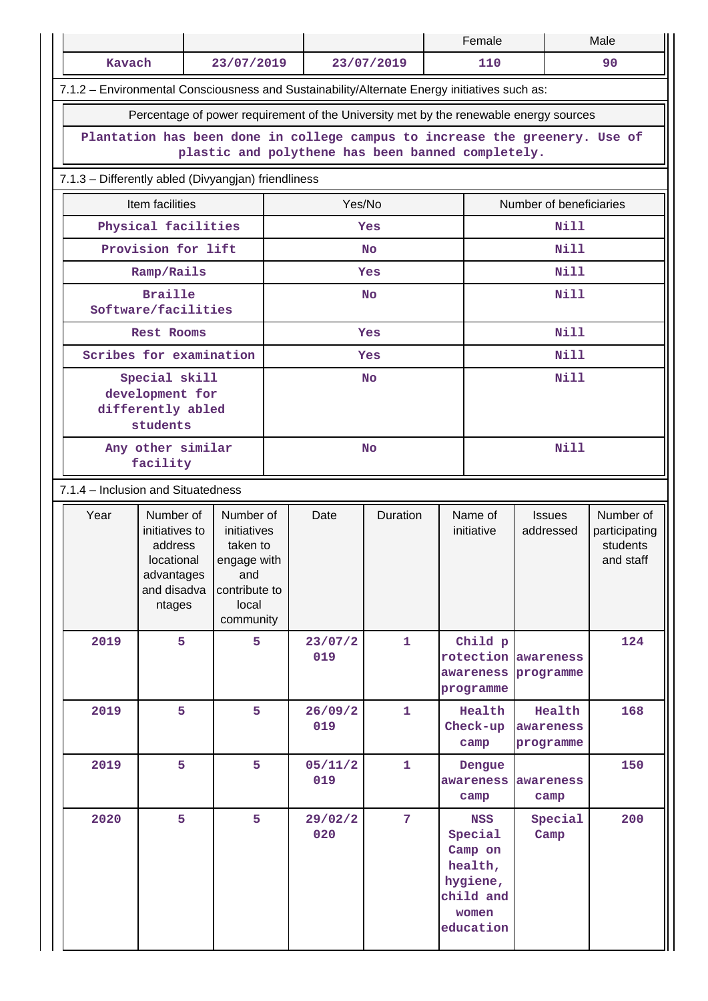|  |                                                                                                                                  |                                                                                              |                                                                                                   |                   |                | Female         |                             |                                                                                            | Male                                       |                                                     |  |
|--|----------------------------------------------------------------------------------------------------------------------------------|----------------------------------------------------------------------------------------------|---------------------------------------------------------------------------------------------------|-------------------|----------------|----------------|-----------------------------|--------------------------------------------------------------------------------------------|--------------------------------------------|-----------------------------------------------------|--|
|  | Kavach<br>23/07/2019                                                                                                             |                                                                                              |                                                                                                   | 23/07/2019<br>110 |                |                |                             | 90                                                                                         |                                            |                                                     |  |
|  |                                                                                                                                  | 7.1.2 - Environmental Consciousness and Sustainability/Alternate Energy initiatives such as: |                                                                                                   |                   |                |                |                             |                                                                                            |                                            |                                                     |  |
|  | Percentage of power requirement of the University met by the renewable energy sources                                            |                                                                                              |                                                                                                   |                   |                |                |                             |                                                                                            |                                            |                                                     |  |
|  | Plantation has been done in college campus to increase the greenery. Use of<br>plastic and polythene has been banned completely. |                                                                                              |                                                                                                   |                   |                |                |                             |                                                                                            |                                            |                                                     |  |
|  |                                                                                                                                  | 7.1.3 - Differently abled (Divyangjan) friendliness                                          |                                                                                                   |                   |                |                |                             |                                                                                            |                                            |                                                     |  |
|  |                                                                                                                                  | Item facilities                                                                              |                                                                                                   | Yes/No            |                |                |                             | Number of beneficiaries                                                                    |                                            |                                                     |  |
|  | Physical facilities                                                                                                              |                                                                                              |                                                                                                   |                   |                | Yes            |                             | Nill                                                                                       |                                            |                                                     |  |
|  |                                                                                                                                  | Provision for lift                                                                           |                                                                                                   |                   |                | <b>No</b>      |                             | Nill                                                                                       |                                            |                                                     |  |
|  |                                                                                                                                  | Ramp/Rails                                                                                   |                                                                                                   |                   |                | Yes            |                             |                                                                                            | <b>Nill</b>                                |                                                     |  |
|  |                                                                                                                                  | <b>Braille</b><br>Software/facilities                                                        |                                                                                                   |                   |                | <b>No</b>      |                             |                                                                                            | <b>Nill</b>                                |                                                     |  |
|  |                                                                                                                                  | <b>Rest Rooms</b>                                                                            |                                                                                                   |                   |                | Yes            |                             |                                                                                            | Nill                                       |                                                     |  |
|  |                                                                                                                                  | Scribes for examination                                                                      |                                                                                                   |                   |                | Yes            |                             |                                                                                            | Nill                                       |                                                     |  |
|  | Special skill<br>development for<br>differently abled<br>students                                                                |                                                                                              |                                                                                                   |                   |                | <b>No</b>      |                             | <b>Nill</b>                                                                                |                                            |                                                     |  |
|  | Any other similar<br>facility                                                                                                    |                                                                                              |                                                                                                   |                   | <b>No</b>      |                |                             |                                                                                            | <b>Nill</b>                                |                                                     |  |
|  |                                                                                                                                  | 7.1.4 - Inclusion and Situatedness                                                           |                                                                                                   |                   |                |                |                             |                                                                                            |                                            |                                                     |  |
|  | Year                                                                                                                             | Number of<br>initiatives to<br>address<br>locational<br>advantages<br>and disadva<br>ntages  | Number of<br>initiatives<br>taken to<br>engage with<br>and<br>contribute to<br>local<br>community |                   | Date           | Duration       |                             | Name of<br>initiative                                                                      | <b>Issues</b><br>addressed                 | Number of<br>participating<br>students<br>and staff |  |
|  | 2019                                                                                                                             | 5                                                                                            | 5                                                                                                 |                   | 23/07/2<br>019 | $\mathbf{1}$   |                             | Child p<br>programme                                                                       | rotection awareness<br>awareness programme | 124                                                 |  |
|  | 5<br>5<br>2019<br>2019<br>5<br>5                                                                                                 |                                                                                              |                                                                                                   | 26/09/2<br>019    | $\mathbf{1}$   |                | Health<br>Check-up<br>camp  | Health<br>awareness<br>programme                                                           | 168                                        |                                                     |  |
|  |                                                                                                                                  |                                                                                              |                                                                                                   | 05/11/2<br>019    | $\mathbf{1}$   |                | Dengue<br>awareness<br>camp | awareness<br>camp                                                                          | 150                                        |                                                     |  |
|  | 2020                                                                                                                             | 5                                                                                            | 5                                                                                                 |                   | 29/02/2<br>020 | $\overline{7}$ |                             | <b>NSS</b><br>Special<br>Camp on<br>health,<br>hygiene,<br>child and<br>women<br>education | Special<br>Camp                            | 200                                                 |  |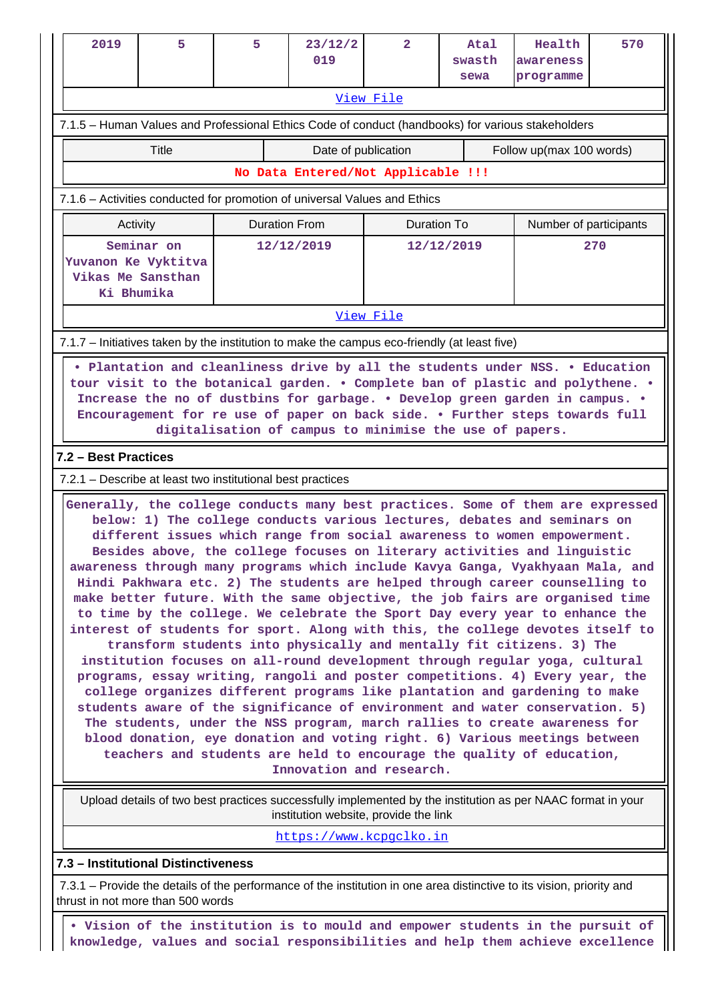| 2019                                                                                                                                                                                                                                                                                                                                                                                                                                                                                                                                                                                                                                                                                                                                                                                                                                                                                                                                                                                                                                                                                                                                                                                                                                                                                                                                                                                                           | 5.                                                                                           | 5 | 23/12/2<br>019           | $\overline{2}$ | Atal<br>swasth | Health<br>awareness | 570 |  |  |  |
|----------------------------------------------------------------------------------------------------------------------------------------------------------------------------------------------------------------------------------------------------------------------------------------------------------------------------------------------------------------------------------------------------------------------------------------------------------------------------------------------------------------------------------------------------------------------------------------------------------------------------------------------------------------------------------------------------------------------------------------------------------------------------------------------------------------------------------------------------------------------------------------------------------------------------------------------------------------------------------------------------------------------------------------------------------------------------------------------------------------------------------------------------------------------------------------------------------------------------------------------------------------------------------------------------------------------------------------------------------------------------------------------------------------|----------------------------------------------------------------------------------------------|---|--------------------------|----------------|----------------|---------------------|-----|--|--|--|
|                                                                                                                                                                                                                                                                                                                                                                                                                                                                                                                                                                                                                                                                                                                                                                                                                                                                                                                                                                                                                                                                                                                                                                                                                                                                                                                                                                                                                |                                                                                              |   |                          |                | sewa           | programme           |     |  |  |  |
| View File<br>7.1.5 – Human Values and Professional Ethics Code of conduct (handbooks) for various stakeholders                                                                                                                                                                                                                                                                                                                                                                                                                                                                                                                                                                                                                                                                                                                                                                                                                                                                                                                                                                                                                                                                                                                                                                                                                                                                                                 |                                                                                              |   |                          |                |                |                     |     |  |  |  |
|                                                                                                                                                                                                                                                                                                                                                                                                                                                                                                                                                                                                                                                                                                                                                                                                                                                                                                                                                                                                                                                                                                                                                                                                                                                                                                                                                                                                                |                                                                                              |   |                          |                |                |                     |     |  |  |  |
| <b>Title</b><br>Date of publication<br>Follow up(max 100 words)<br>No Data Entered/Not Applicable !!!                                                                                                                                                                                                                                                                                                                                                                                                                                                                                                                                                                                                                                                                                                                                                                                                                                                                                                                                                                                                                                                                                                                                                                                                                                                                                                          |                                                                                              |   |                          |                |                |                     |     |  |  |  |
|                                                                                                                                                                                                                                                                                                                                                                                                                                                                                                                                                                                                                                                                                                                                                                                                                                                                                                                                                                                                                                                                                                                                                                                                                                                                                                                                                                                                                |                                                                                              |   |                          |                |                |                     |     |  |  |  |
| 7.1.6 - Activities conducted for promotion of universal Values and Ethics                                                                                                                                                                                                                                                                                                                                                                                                                                                                                                                                                                                                                                                                                                                                                                                                                                                                                                                                                                                                                                                                                                                                                                                                                                                                                                                                      |                                                                                              |   |                          |                |                |                     |     |  |  |  |
| <b>Duration From</b><br><b>Duration To</b><br>Activity<br>Number of participants                                                                                                                                                                                                                                                                                                                                                                                                                                                                                                                                                                                                                                                                                                                                                                                                                                                                                                                                                                                                                                                                                                                                                                                                                                                                                                                               |                                                                                              |   |                          |                |                |                     |     |  |  |  |
| Vikas Me Sansthan<br>Ki Bhumika                                                                                                                                                                                                                                                                                                                                                                                                                                                                                                                                                                                                                                                                                                                                                                                                                                                                                                                                                                                                                                                                                                                                                                                                                                                                                                                                                                                | Seminar on<br>Yuvanon Ke Vyktitva                                                            |   | 12/12/2019<br>12/12/2019 |                |                | 270                 |     |  |  |  |
|                                                                                                                                                                                                                                                                                                                                                                                                                                                                                                                                                                                                                                                                                                                                                                                                                                                                                                                                                                                                                                                                                                                                                                                                                                                                                                                                                                                                                |                                                                                              |   |                          | View File      |                |                     |     |  |  |  |
|                                                                                                                                                                                                                                                                                                                                                                                                                                                                                                                                                                                                                                                                                                                                                                                                                                                                                                                                                                                                                                                                                                                                                                                                                                                                                                                                                                                                                | 7.1.7 – Initiatives taken by the institution to make the campus eco-friendly (at least five) |   |                          |                |                |                     |     |  |  |  |
| tour visit to the botanical garden. . Complete ban of plastic and polythene. .<br>Increase the no of dustbins for garbage. . Develop green garden in campus. .<br>Encouragement for re use of paper on back side. . Further steps towards full<br>digitalisation of campus to minimise the use of papers.<br>7.2 - Best Practices                                                                                                                                                                                                                                                                                                                                                                                                                                                                                                                                                                                                                                                                                                                                                                                                                                                                                                                                                                                                                                                                              |                                                                                              |   |                          |                |                |                     |     |  |  |  |
|                                                                                                                                                                                                                                                                                                                                                                                                                                                                                                                                                                                                                                                                                                                                                                                                                                                                                                                                                                                                                                                                                                                                                                                                                                                                                                                                                                                                                | 7.2.1 – Describe at least two institutional best practices                                   |   |                          |                |                |                     |     |  |  |  |
| Generally, the college conducts many best practices. Some of them are expressed<br>below: 1) The college conducts various lectures, debates and seminars on<br>different issues which range from social awareness to women empowerment.<br>Besides above, the college focuses on literary activities and linguistic<br>awareness through many programs which include Kavya Ganga, Vyakhyaan Mala, and<br>Hindi Pakhwara etc. 2) The students are helped through career counselling to<br>make better future. With the same objective, the job fairs are organised time<br>to time by the college. We celebrate the Sport Day every year to enhance the<br>interest of students for sport. Along with this, the college devotes itself to<br>transform students into physically and mentally fit citizens. 3) The<br>institution focuses on all-round development through regular yoga, cultural<br>programs, essay writing, rangoli and poster competitions. 4) Every year, the<br>college organizes different programs like plantation and gardening to make<br>students aware of the significance of environment and water conservation. 5)<br>The students, under the NSS program, march rallies to create awareness for<br>blood donation, eye donation and voting right. 6) Various meetings between<br>teachers and students are held to encourage the quality of education,<br>Innovation and research. |                                                                                              |   |                          |                |                |                     |     |  |  |  |
| Upload details of two best practices successfully implemented by the institution as per NAAC format in your<br>institution website, provide the link                                                                                                                                                                                                                                                                                                                                                                                                                                                                                                                                                                                                                                                                                                                                                                                                                                                                                                                                                                                                                                                                                                                                                                                                                                                           |                                                                                              |   |                          |                |                |                     |     |  |  |  |
|                                                                                                                                                                                                                                                                                                                                                                                                                                                                                                                                                                                                                                                                                                                                                                                                                                                                                                                                                                                                                                                                                                                                                                                                                                                                                                                                                                                                                |                                                                                              |   | https://www.kcpgclko.in  |                |                |                     |     |  |  |  |
|                                                                                                                                                                                                                                                                                                                                                                                                                                                                                                                                                                                                                                                                                                                                                                                                                                                                                                                                                                                                                                                                                                                                                                                                                                                                                                                                                                                                                | 7.3 - Institutional Distinctiveness                                                          |   |                          |                |                |                     |     |  |  |  |
| 7.3.1 – Provide the details of the performance of the institution in one area distinctive to its vision, priority and<br>thrust in not more than 500 words                                                                                                                                                                                                                                                                                                                                                                                                                                                                                                                                                                                                                                                                                                                                                                                                                                                                                                                                                                                                                                                                                                                                                                                                                                                     |                                                                                              |   |                          |                |                |                     |     |  |  |  |

 **• Vision of the institution is to mould and empower students in the pursuit of knowledge, values and social responsibilities and help them achieve excellence**

Ш